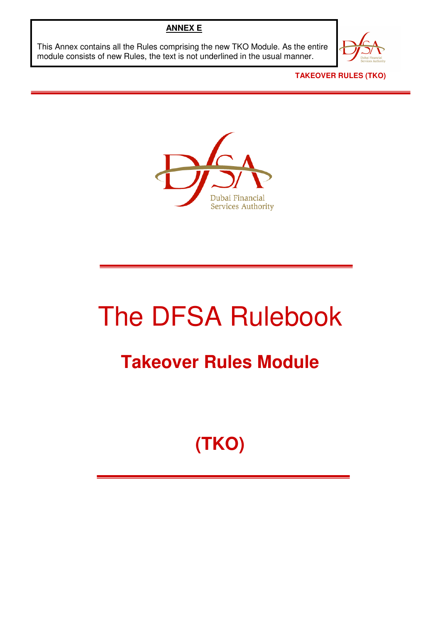## **ANNEX E**

This Annex contains all the Rules comprising the new TKO Module. As the entire module consists of new Rules, the text is not underlined in the usual manner.



**TAKEOVER RULES (TKO)** 



# The DFSA Rulebook

# **Takeover Rules Module**

# **(TKO)**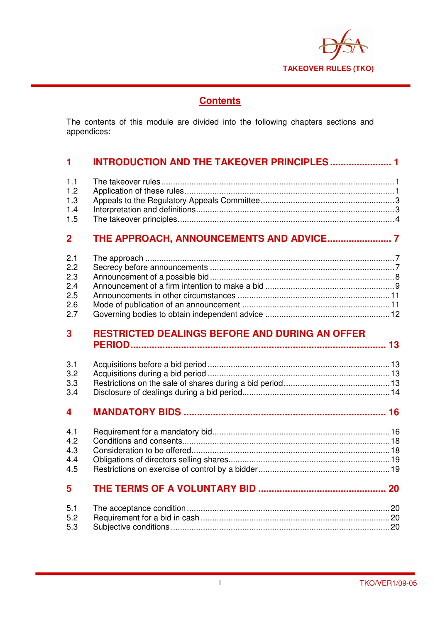

## **Contents**

The contents of this module are divided into the following chapters sections and appendices:

## **1 INTRODUCTION AND THE TAKEOVER PRINCIPLES ....................... 1**

| 1.2 <sub>1</sub> |  |
|------------------|--|
| 1.3              |  |
| 1.4              |  |
|                  |  |

## **2 THE APPROACH, ANNOUNCEMENTS AND ADVICE........................ 7**

| 2.2 |  |
|-----|--|
|     |  |
| 2.4 |  |
| 2.5 |  |
| 2.6 |  |
|     |  |
|     |  |

## **3 RESTRICTED DEALINGS BEFORE AND DURING AN OFFER PERIOD................................................................................................ 13**

| 3.3 |  |
|-----|--|
|     |  |

## **4 MANDATORY BIDS ............................................................................ 16**

## **5 THE TERMS OF A VOLUNTARY BID ................................................ 20**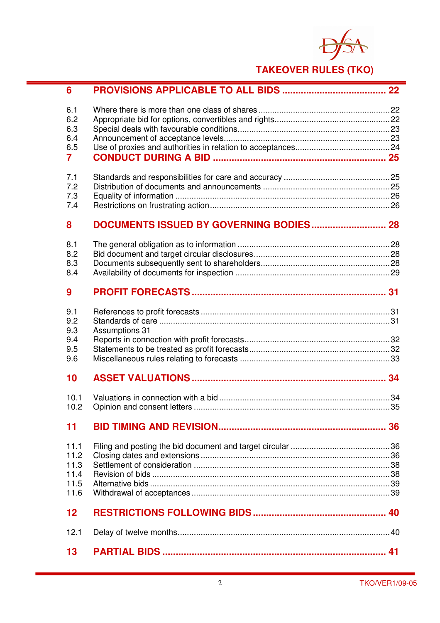

## **TAKEOVER RULES (TKO)**

| 6                                            |                       |  |
|----------------------------------------------|-----------------------|--|
| 6.1<br>6.2<br>6.3<br>6.4                     |                       |  |
| 6.5<br>$\overline{7}$                        |                       |  |
| 7.1<br>7.2<br>7.3<br>7.4                     |                       |  |
| 8                                            |                       |  |
| 8.1<br>8.2<br>8.3<br>8.4                     |                       |  |
| 9                                            |                       |  |
| 9.1<br>9.2<br>9.3<br>9.4                     | <b>Assumptions 31</b> |  |
| 9.5<br>9.6                                   |                       |  |
| 10                                           |                       |  |
| 10.1<br>10.2                                 |                       |  |
| 11                                           |                       |  |
| 11.1<br>11.2<br>11.3<br>11.4<br>11.5<br>11.6 |                       |  |
| 12                                           |                       |  |
| 12.1                                         |                       |  |
| 13                                           |                       |  |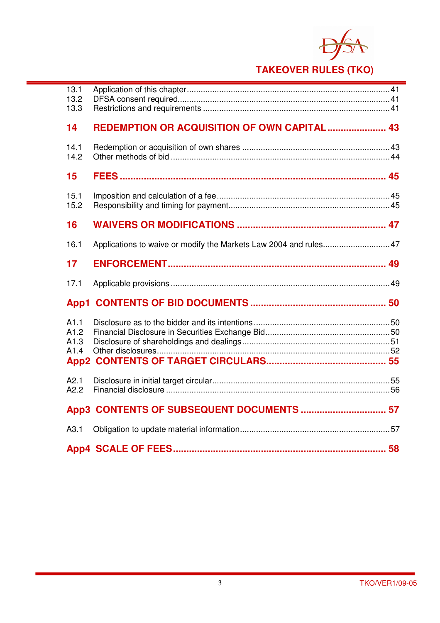

## **TAKEOVER RULES (TKO)**

| 13.1<br>13.2<br>13.3                             |                                                                  |  |
|--------------------------------------------------|------------------------------------------------------------------|--|
| 14                                               | REDEMPTION OR ACQUISITION OF OWN CAPITAL  43                     |  |
| 14.1<br>14.2                                     |                                                                  |  |
| 15                                               |                                                                  |  |
| 15.1<br>15.2                                     |                                                                  |  |
| 16                                               |                                                                  |  |
| 16.1                                             | Applications to waive or modify the Markets Law 2004 and rules47 |  |
| 17                                               |                                                                  |  |
| 17.1                                             |                                                                  |  |
|                                                  |                                                                  |  |
| A1.1<br>A1.2<br>A1.3<br>A1.4<br>App <sub>2</sub> |                                                                  |  |
| A2.1<br>A2.2                                     |                                                                  |  |
|                                                  |                                                                  |  |
|                                                  | App3 CONTENTS OF SUBSEQUENT DOCUMENTS  57                        |  |
| A3.1                                             |                                                                  |  |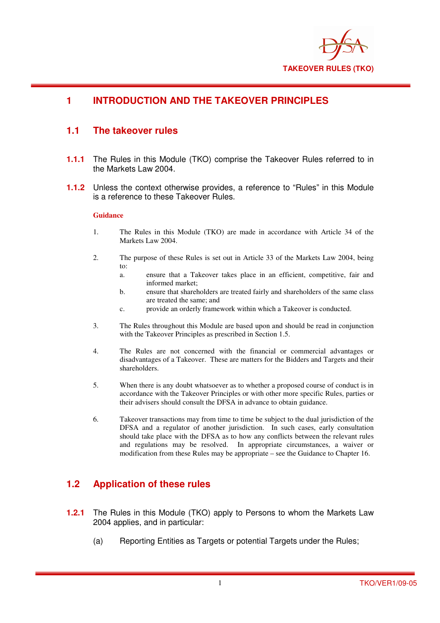

## **1 INTRODUCTION AND THE TAKEOVER PRINCIPLES**

## **1.1 The takeover rules**

- **1.1.1** The Rules in this Module (TKO) comprise the Takeover Rules referred to in the Markets Law 2004.
- **1.1.2** Unless the context otherwise provides, a reference to "Rules" in this Module is a reference to these Takeover Rules.

#### **Guidance**

- 1. The Rules in this Module (TKO) are made in accordance with Article 34 of the Markets Law 2004.
- 2. The purpose of these Rules is set out in Article 33 of the Markets Law 2004, being to:
	- a. ensure that a Takeover takes place in an efficient, competitive, fair and informed market;
	- b. ensure that shareholders are treated fairly and shareholders of the same class are treated the same; and
	- c. provide an orderly framework within which a Takeover is conducted.
- 3. The Rules throughout this Module are based upon and should be read in conjunction with the Takeover Principles as prescribed in Section 1.5.
- 4. The Rules are not concerned with the financial or commercial advantages or disadvantages of a Takeover. These are matters for the Bidders and Targets and their shareholders.
- 5. When there is any doubt whatsoever as to whether a proposed course of conduct is in accordance with the Takeover Principles or with other more specific Rules, parties or their advisers should consult the DFSA in advance to obtain guidance.
- 6. Takeover transactions may from time to time be subject to the dual jurisdiction of the DFSA and a regulator of another jurisdiction. In such cases, early consultation should take place with the DFSA as to how any conflicts between the relevant rules and regulations may be resolved. In appropriate circumstances, a waiver or modification from these Rules may be appropriate – see the Guidance to Chapter 16.

## **1.2 Application of these rules**

- **1.2.1** The Rules in this Module (TKO) apply to Persons to whom the Markets Law 2004 applies, and in particular:
	- (a) Reporting Entities as Targets or potential Targets under the Rules: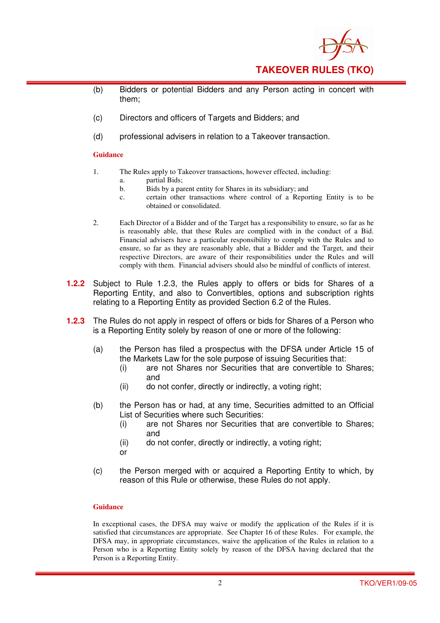

- (b) Bidders or potential Bidders and any Person acting in concert with them;
- (c) Directors and officers of Targets and Bidders; and
- (d) professional advisers in relation to a Takeover transaction.

- 1. The Rules apply to Takeover transactions, however effected, including:
	- a. partial Bids;
	- b. Bids by a parent entity for Shares in its subsidiary; and
	- c. certain other transactions where control of a Reporting Entity is to be obtained or consolidated.
- 2. Each Director of a Bidder and of the Target has a responsibility to ensure, so far as he is reasonably able, that these Rules are complied with in the conduct of a Bid. Financial advisers have a particular responsibility to comply with the Rules and to ensure, so far as they are reasonably able, that a Bidder and the Target, and their respective Directors, are aware of their responsibilities under the Rules and will comply with them. Financial advisers should also be mindful of conflicts of interest.
- **1.2.2** Subject to Rule 1.2.3, the Rules apply to offers or bids for Shares of a Reporting Entity, and also to Convertibles, options and subscription rights relating to a Reporting Entity as provided Section 6.2 of the Rules.
- **1.2.3** The Rules do not apply in respect of offers or bids for Shares of a Person who is a Reporting Entity solely by reason of one or more of the following:
	- (a) the Person has filed a prospectus with the DFSA under Article 15 of the Markets Law for the sole purpose of issuing Securities that:
		- (i) are not Shares nor Securities that are convertible to Shares; and
		- (ii) do not confer, directly or indirectly, a voting right;
	- (b) the Person has or had, at any time, Securities admitted to an Official List of Securities where such Securities:
		- (i) are not Shares nor Securities that are convertible to Shares; and
		- (ii) do not confer, directly or indirectly, a voting right;
		- or
	- (c) the Person merged with or acquired a Reporting Entity to which, by reason of this Rule or otherwise, these Rules do not apply.

#### **Guidance**

In exceptional cases, the DFSA may waive or modify the application of the Rules if it is satisfied that circumstances are appropriate. See Chapter 16 of these Rules. For example, the DFSA may, in appropriate circumstances, waive the application of the Rules in relation to a Person who is a Reporting Entity solely by reason of the DFSA having declared that the Person is a Reporting Entity.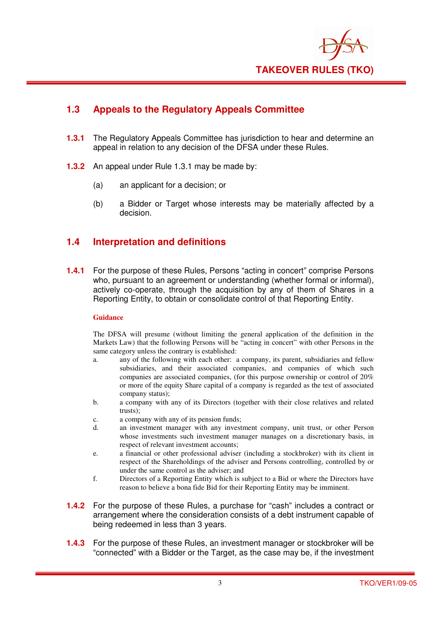

## **1.3 Appeals to the Regulatory Appeals Committee**

- **1.3.1** The Regulatory Appeals Committee has jurisdiction to hear and determine an appeal in relation to any decision of the DFSA under these Rules.
- **1.3.2** An appeal under Rule 1.3.1 may be made by:
	- (a) an applicant for a decision; or
	- (b) a Bidder or Target whose interests may be materially affected by a decision.

## **1.4 Interpretation and definitions**

**1.4.1** For the purpose of these Rules, Persons "acting in concert" comprise Persons who, pursuant to an agreement or understanding (whether formal or informal). actively co-operate, through the acquisition by any of them of Shares in a Reporting Entity, to obtain or consolidate control of that Reporting Entity.

#### **Guidance**

The DFSA will presume (without limiting the general application of the definition in the Markets Law) that the following Persons will be "acting in concert" with other Persons in the same category unless the contrary is established:

- a. any of the following with each other: a company, its parent, subsidiaries and fellow subsidiaries, and their associated companies, and companies of which such companies are associated companies, (for this purpose ownership or control of 20% or more of the equity Share capital of a company is regarded as the test of associated company status);
- b. a company with any of its Directors (together with their close relatives and related trusts);
- c. a company with any of its pension funds;
- d. an investment manager with any investment company, unit trust, or other Person whose investments such investment manager manages on a discretionary basis, in respect of relevant investment accounts;
- e. a financial or other professional adviser (including a stockbroker) with its client in respect of the Shareholdings of the adviser and Persons controlling, controlled by or under the same control as the adviser; and
- f. Directors of a Reporting Entity which is subject to a Bid or where the Directors have reason to believe a bona fide Bid for their Reporting Entity may be imminent.
- **1.4.2** For the purpose of these Rules, a purchase for "cash" includes a contract or arrangement where the consideration consists of a debt instrument capable of being redeemed in less than 3 years.
- **1.4.3** For the purpose of these Rules, an investment manager or stockbroker will be "connected" with a Bidder or the Target, as the case may be, if the investment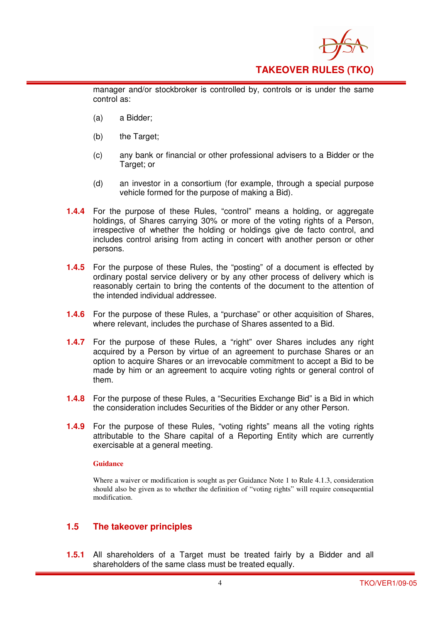

manager and/or stockbroker is controlled by, controls or is under the same control as:

- (a) a Bidder;
- (b) the Target;
- (c) any bank or financial or other professional advisers to a Bidder or the Target; or
- (d) an investor in a consortium (for example, through a special purpose vehicle formed for the purpose of making a Bid).
- **1.4.4** For the purpose of these Rules, "control" means a holding, or aggregate holdings, of Shares carrying 30% or more of the voting rights of a Person, irrespective of whether the holding or holdings give de facto control, and includes control arising from acting in concert with another person or other persons.
- **1.4.5** For the purpose of these Rules, the "posting" of a document is effected by ordinary postal service delivery or by any other process of delivery which is reasonably certain to bring the contents of the document to the attention of the intended individual addressee.
- **1.4.6** For the purpose of these Rules, a "purchase" or other acquisition of Shares, where relevant, includes the purchase of Shares assented to a Bid.
- **1.4.7** For the purpose of these Rules, a "right" over Shares includes any right acquired by a Person by virtue of an agreement to purchase Shares or an option to acquire Shares or an irrevocable commitment to accept a Bid to be made by him or an agreement to acquire voting rights or general control of them.
- **1.4.8** For the purpose of these Rules, a "Securities Exchange Bid" is a Bid in which the consideration includes Securities of the Bidder or any other Person.
- **1.4.9** For the purpose of these Rules, "voting rights" means all the voting rights attributable to the Share capital of a Reporting Entity which are currently exercisable at a general meeting.

#### **Guidance**

Where a waiver or modification is sought as per Guidance Note 1 to Rule 4.1.3, consideration should also be given as to whether the definition of "voting rights" will require consequential modification.

## **1.5 The takeover principles**

**1.5.1** All shareholders of a Target must be treated fairly by a Bidder and all shareholders of the same class must be treated equally.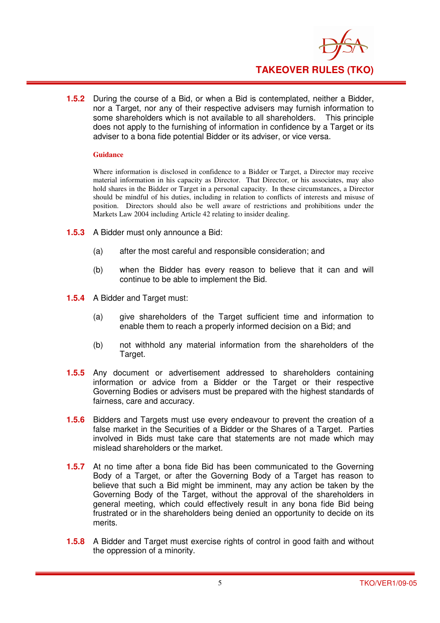

**1.5.2** During the course of a Bid, or when a Bid is contemplated, neither a Bidder, nor a Target, nor any of their respective advisers may furnish information to some shareholders which is not available to all shareholders. This principle does not apply to the furnishing of information in confidence by a Target or its adviser to a bona fide potential Bidder or its adviser, or vice versa.

#### **Guidance**

Where information is disclosed in confidence to a Bidder or Target, a Director may receive material information in his capacity as Director. That Director, or his associates, may also hold shares in the Bidder or Target in a personal capacity. In these circumstances, a Director should be mindful of his duties, including in relation to conflicts of interests and misuse of position. Directors should also be well aware of restrictions and prohibitions under the Markets Law 2004 including Article 42 relating to insider dealing.

- **1.5.3** A Bidder must only announce a Bid:
	- (a) after the most careful and responsible consideration; and
	- (b) when the Bidder has every reason to believe that it can and will continue to be able to implement the Bid.
- **1.5.4** A Bidder and Target must:
	- (a) give shareholders of the Target sufficient time and information to enable them to reach a properly informed decision on a Bid; and
	- (b) not withhold any material information from the shareholders of the Target.
- **1.5.5** Any document or advertisement addressed to shareholders containing information or advice from a Bidder or the Target or their respective Governing Bodies or advisers must be prepared with the highest standards of fairness, care and accuracy.
- **1.5.6** Bidders and Targets must use every endeavour to prevent the creation of a false market in the Securities of a Bidder or the Shares of a Target. Parties involved in Bids must take care that statements are not made which may mislead shareholders or the market.
- **1.5.7** At no time after a bona fide Bid has been communicated to the Governing Body of a Target, or after the Governing Body of a Target has reason to believe that such a Bid might be imminent, may any action be taken by the Governing Body of the Target, without the approval of the shareholders in general meeting, which could effectively result in any bona fide Bid being frustrated or in the shareholders being denied an opportunity to decide on its merits.
- **1.5.8** A Bidder and Target must exercise rights of control in good faith and without the oppression of a minority.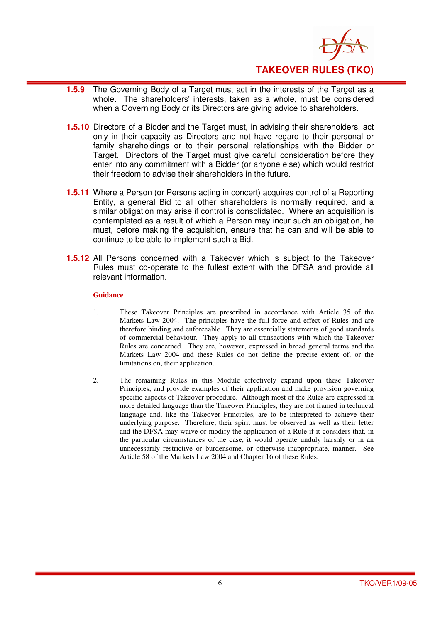

- **1.5.9** The Governing Body of a Target must act in the interests of the Target as a whole. The shareholders' interests, taken as a whole, must be considered when a Governing Body or its Directors are giving advice to shareholders.
- **1.5.10** Directors of a Bidder and the Target must, in advising their shareholders, act only in their capacity as Directors and not have regard to their personal or family shareholdings or to their personal relationships with the Bidder or Target. Directors of the Target must give careful consideration before they enter into any commitment with a Bidder (or anyone else) which would restrict their freedom to advise their shareholders in the future.
- **1.5.11** Where a Person (or Persons acting in concert) acquires control of a Reporting Entity, a general Bid to all other shareholders is normally required, and a similar obligation may arise if control is consolidated. Where an acquisition is contemplated as a result of which a Person may incur such an obligation, he must, before making the acquisition, ensure that he can and will be able to continue to be able to implement such a Bid.
- **1.5.12** All Persons concerned with a Takeover which is subject to the Takeover Rules must co-operate to the fullest extent with the DFSA and provide all relevant information.

- 1. These Takeover Principles are prescribed in accordance with Article 35 of the Markets Law 2004. The principles have the full force and effect of Rules and are therefore binding and enforceable. They are essentially statements of good standards of commercial behaviour. They apply to all transactions with which the Takeover Rules are concerned. They are, however, expressed in broad general terms and the Markets Law 2004 and these Rules do not define the precise extent of, or the limitations on, their application.
- 2. The remaining Rules in this Module effectively expand upon these Takeover Principles, and provide examples of their application and make provision governing specific aspects of Takeover procedure. Although most of the Rules are expressed in more detailed language than the Takeover Principles, they are not framed in technical language and, like the Takeover Principles, are to be interpreted to achieve their underlying purpose. Therefore, their spirit must be observed as well as their letter and the DFSA may waive or modify the application of a Rule if it considers that, in the particular circumstances of the case, it would operate unduly harshly or in an unnecessarily restrictive or burdensome, or otherwise inappropriate, manner. See Article 58 of the Markets Law 2004 and Chapter 16 of these Rules.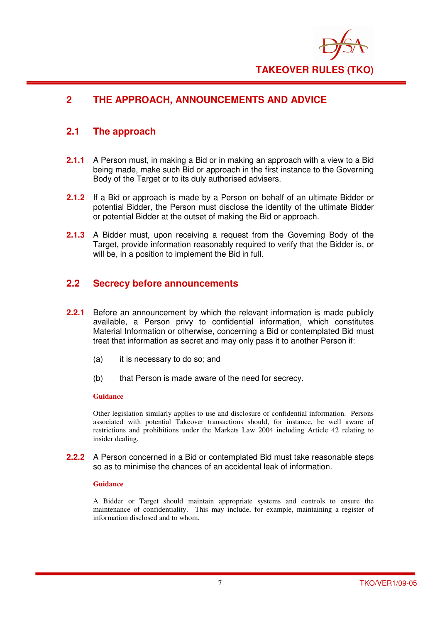

## **2 THE APPROACH, ANNOUNCEMENTS AND ADVICE**

## **2.1 The approach**

- **2.1.1** A Person must, in making a Bid or in making an approach with a view to a Bid being made, make such Bid or approach in the first instance to the Governing Body of the Target or to its duly authorised advisers.
- **2.1.2** If a Bid or approach is made by a Person on behalf of an ultimate Bidder or potential Bidder, the Person must disclose the identity of the ultimate Bidder or potential Bidder at the outset of making the Bid or approach.
- **2.1.3** A Bidder must, upon receiving a request from the Governing Body of the Target, provide information reasonably required to verify that the Bidder is, or will be, in a position to implement the Bid in full.

## **2.2 Secrecy before announcements**

- **2.2.1** Before an announcement by which the relevant information is made publicly available, a Person privy to confidential information, which constitutes Material Information or otherwise, concerning a Bid or contemplated Bid must treat that information as secret and may only pass it to another Person if:
	- (a) it is necessary to do so; and
	- (b) that Person is made aware of the need for secrecy.

#### **Guidance**

Other legislation similarly applies to use and disclosure of confidential information. Persons associated with potential Takeover transactions should, for instance, be well aware of restrictions and prohibitions under the Markets Law 2004 including Article 42 relating to insider dealing.

**2.2.2** A Person concerned in a Bid or contemplated Bid must take reasonable steps so as to minimise the chances of an accidental leak of information.

#### **Guidance**

A Bidder or Target should maintain appropriate systems and controls to ensure the maintenance of confidentiality. This may include, for example, maintaining a register of information disclosed and to whom.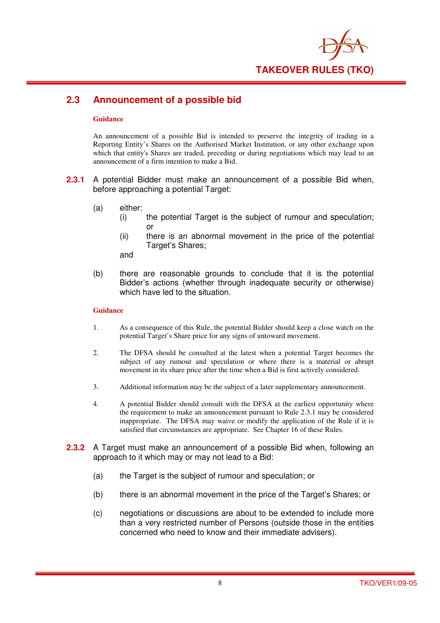

## **2.3 Announcement of a possible bid**

#### **Guidance**

An announcement of a possible Bid is intended to preserve the integrity of trading in a Reporting Entity's Shares on the Authorised Market Institution, or any other exchange upon which that entity's Shares are traded, preceding or during negotiations which may lead to an announcement of a firm intention to make a Bid.

- **2.3.1** A potential Bidder must make an announcement of a possible Bid when, before approaching a potential Target:
	- (a) either:
		- (i) the potential Target is the subject of rumour and speculation; or
		- (ii) there is an abnormal movement in the price of the potential Target's Shares:

and

(b) there are reasonable grounds to conclude that it is the potential Bidder's actions (whether through inadequate security or otherwise) which have led to the situation.

- 1. As a consequence of this Rule, the potential Bidder should keep a close watch on the potential Target's Share price for any signs of untoward movement.
- 2. The DFSA should be consulted at the latest when a potential Target becomes the subject of any rumour and speculation or where there is a material or abrupt movement in its share price after the time when a Bid is first actively considered.
- 3. Additional information may be the subject of a later supplementary announcement.
- 4. A potential Bidder should consult with the DFSA at the earliest opportunity where the requirement to make an announcement pursuant to Rule 2.3.1 may be considered inappropriate. The DFSA may waive or modify the application of the Rule if it is satisfied that circumstances are appropriate. See Chapter 16 of these Rules.
- **2.3.2** A Target must make an announcement of a possible Bid when, following an approach to it which may or may not lead to a Bid:
	- (a) the Target is the subject of rumour and speculation; or
	- (b) there is an abnormal movement in the price of the Target's Shares; or
	- (c) negotiations or discussions are about to be extended to include more than a very restricted number of Persons (outside those in the entities concerned who need to know and their immediate advisers).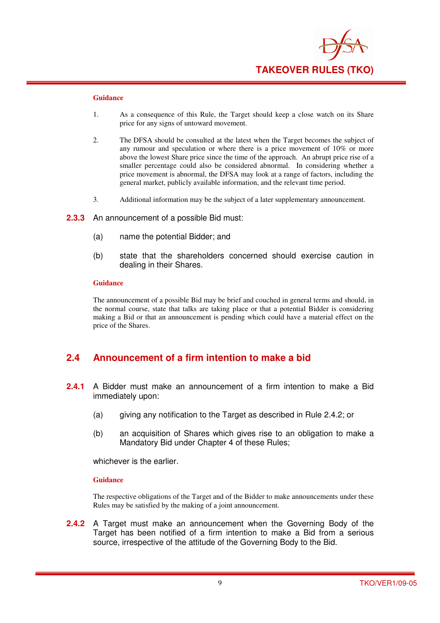

- 1. As a consequence of this Rule, the Target should keep a close watch on its Share price for any signs of untoward movement.
- 2. The DFSA should be consulted at the latest when the Target becomes the subject of any rumour and speculation or where there is a price movement of 10% or more above the lowest Share price since the time of the approach. An abrupt price rise of a smaller percentage could also be considered abnormal. In considering whether a price movement is abnormal, the DFSA may look at a range of factors, including the general market, publicly available information, and the relevant time period.
- 3. Additional information may be the subject of a later supplementary announcement.
- **2.3.3** An announcement of a possible Bid must:
	- (a) name the potential Bidder; and
	- (b) state that the shareholders concerned should exercise caution in dealing in their Shares.

#### **Guidance**

The announcement of a possible Bid may be brief and couched in general terms and should, in the normal course, state that talks are taking place or that a potential Bidder is considering making a Bid or that an announcement is pending which could have a material effect on the price of the Shares.

## **2.4 Announcement of a firm intention to make a bid**

- **2.4.1** A Bidder must make an announcement of a firm intention to make a Bid immediately upon:
	- (a) giving any notification to the Target as described in Rule 2.4.2; or
	- (b) an acquisition of Shares which gives rise to an obligation to make a Mandatory Bid under Chapter 4 of these Rules;

whichever is the earlier.

#### **Guidance**

The respective obligations of the Target and of the Bidder to make announcements under these Rules may be satisfied by the making of a joint announcement.

**2.4.2** A Target must make an announcement when the Governing Body of the Target has been notified of a firm intention to make a Bid from a serious source, irrespective of the attitude of the Governing Body to the Bid.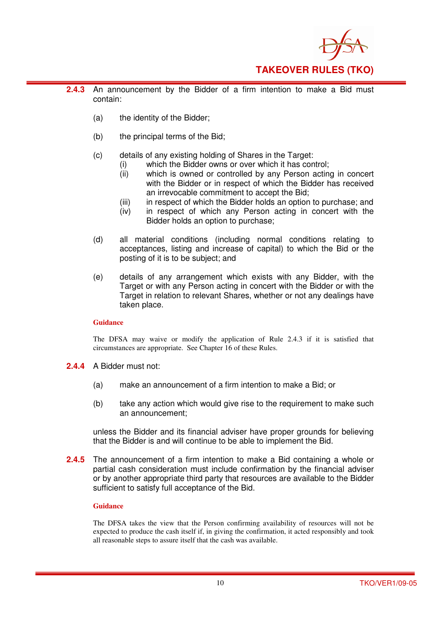

- **2.4.3** An announcement by the Bidder of a firm intention to make a Bid must contain:
	- (a) the identity of the Bidder;
	- (b) the principal terms of the Bid;
	- (c) details of any existing holding of Shares in the Target:
		- (i) which the Bidder owns or over which it has control;<br>(ii) which is owned or controlled by any Person actin
			- which is owned or controlled by any Person acting in concert with the Bidder or in respect of which the Bidder has received an irrevocable commitment to accept the Bid;
		- (iii) in respect of which the Bidder holds an option to purchase; and
		- (iv) in respect of which any Person acting in concert with the Bidder holds an option to purchase;
	- (d) all material conditions (including normal conditions relating to acceptances, listing and increase of capital) to which the Bid or the posting of it is to be subject; and
	- (e) details of any arrangement which exists with any Bidder, with the Target or with any Person acting in concert with the Bidder or with the Target in relation to relevant Shares, whether or not any dealings have taken place.

The DFSA may waive or modify the application of Rule 2.4.3 if it is satisfied that circumstances are appropriate. See Chapter 16 of these Rules.

- **2.4.4** A Bidder must not:
	- (a) make an announcement of a firm intention to make a Bid; or
	- (b) take any action which would give rise to the requirement to make such an announcement;

unless the Bidder and its financial adviser have proper grounds for believing that the Bidder is and will continue to be able to implement the Bid.

**2.4.5** The announcement of a firm intention to make a Bid containing a whole or partial cash consideration must include confirmation by the financial adviser or by another appropriate third party that resources are available to the Bidder sufficient to satisfy full acceptance of the Bid.

#### **Guidance**

The DFSA takes the view that the Person confirming availability of resources will not be expected to produce the cash itself if, in giving the confirmation, it acted responsibly and took all reasonable steps to assure itself that the cash was available.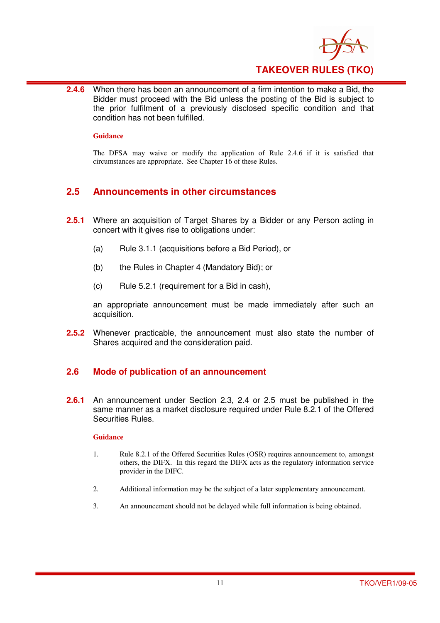

**2.4.6** When there has been an announcement of a firm intention to make a Bid, the Bidder must proceed with the Bid unless the posting of the Bid is subject to the prior fulfilment of a previously disclosed specific condition and that condition has not been fulfilled.

#### **Guidance**

The DFSA may waive or modify the application of Rule 2.4.6 if it is satisfied that circumstances are appropriate. See Chapter 16 of these Rules.

## **2.5 Announcements in other circumstances**

- **2.5.1** Where an acquisition of Target Shares by a Bidder or any Person acting in concert with it gives rise to obligations under:
	- (a) Rule 3.1.1 (acquisitions before a Bid Period), or
	- (b) the Rules in Chapter 4 (Mandatory Bid); or
	- (c) Rule 5.2.1 (requirement for a Bid in cash),

an appropriate announcement must be made immediately after such an acquisition.

**2.5.2** Whenever practicable, the announcement must also state the number of Shares acquired and the consideration paid.

#### **2.6 Mode of publication of an announcement**

**2.6.1** An announcement under Section 2.3, 2.4 or 2.5 must be published in the same manner as a market disclosure required under Rule 8.2.1 of the Offered Securities Rules.

- 1. Rule 8.2.1 of the Offered Securities Rules (OSR) requires announcement to, amongst others, the DIFX. In this regard the DIFX acts as the regulatory information service provider in the DIFC.
- 2. Additional information may be the subject of a later supplementary announcement.
- 3. An announcement should not be delayed while full information is being obtained.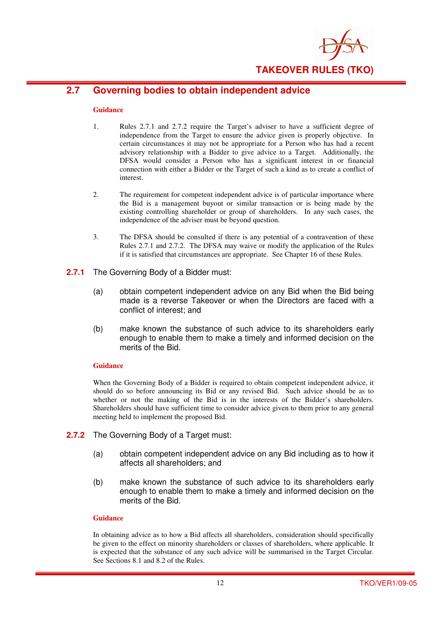

## **2.7 Governing bodies to obtain independent advice**

#### **Guidance**

- 1. Rules 2.7.1 and 2.7.2 require the Target's adviser to have a sufficient degree of independence from the Target to ensure the advice given is properly objective. In certain circumstances it may not be appropriate for a Person who has had a recent advisory relationship with a Bidder to give advice to a Target. Additionally, the DFSA would consider a Person who has a significant interest in or financial connection with either a Bidder or the Target of such a kind as to create a conflict of interest.
- 2. The requirement for competent independent advice is of particular importance where the Bid is a management buyout or similar transaction or is being made by the existing controlling shareholder or group of shareholders. In any such cases, the independence of the adviser must be beyond question.
- 3. The DFSA should be consulted if there is any potential of a contravention of these Rules 2.7.1 and 2.7.2. The DFSA may waive or modify the application of the Rules if it is satisfied that circumstances are appropriate. See Chapter 16 of these Rules.
- **2.7.1** The Governing Body of a Bidder must:
	- (a) obtain competent independent advice on any Bid when the Bid being made is a reverse Takeover or when the Directors are faced with a conflict of interest; and
	- (b) make known the substance of such advice to its shareholders early enough to enable them to make a timely and informed decision on the merits of the Bid.

#### **Guidance**

When the Governing Body of a Bidder is required to obtain competent independent advice, it should do so before announcing its Bid or any revised Bid. Such advice should be as to whether or not the making of the Bid is in the interests of the Bidder's shareholders. Shareholders should have sufficient time to consider advice given to them prior to any general meeting held to implement the proposed Bid.

- **2.7.2** The Governing Body of a Target must:
	- (a) obtain competent independent advice on any Bid including as to how it affects all shareholders; and
	- (b) make known the substance of such advice to its shareholders early enough to enable them to make a timely and informed decision on the merits of the Bid.

#### **Guidance**

In obtaining advice as to how a Bid affects all shareholders, consideration should specifically be given to the effect on minority shareholders or classes of shareholders, where applicable. It is expected that the substance of any such advice will be summarised in the Target Circular. See Sections 8.1 and 8.2 of the Rules.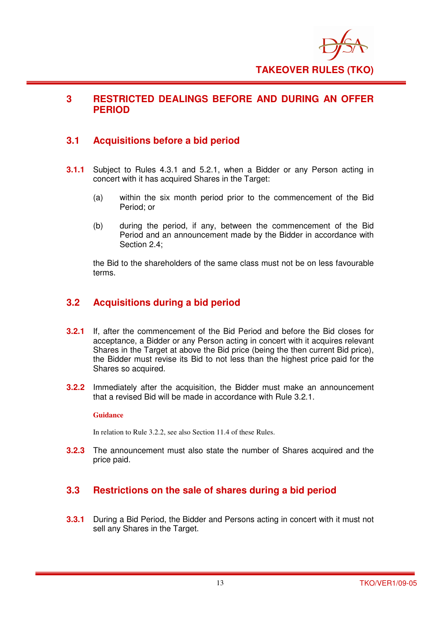

## **3 RESTRICTED DEALINGS BEFORE AND DURING AN OFFER PERIOD**

## **3.1 Acquisitions before a bid period**

- **3.1.1** Subject to Rules 4.3.1 and 5.2.1, when a Bidder or any Person acting in concert with it has acquired Shares in the Target:
	- (a) within the six month period prior to the commencement of the Bid Period; or
	- (b) during the period, if any, between the commencement of the Bid Period and an announcement made by the Bidder in accordance with Section 2.4;

the Bid to the shareholders of the same class must not be on less favourable terms.

## **3.2 Acquisitions during a bid period**

- **3.2.1** If, after the commencement of the Bid Period and before the Bid closes for acceptance, a Bidder or any Person acting in concert with it acquires relevant Shares in the Target at above the Bid price (being the then current Bid price), the Bidder must revise its Bid to not less than the highest price paid for the Shares so acquired.
- **3.2.2** Immediately after the acquisition, the Bidder must make an announcement that a revised Bid will be made in accordance with Rule 3.2.1.

#### **Guidance**

In relation to Rule 3.2.2, see also Section 11.4 of these Rules.

**3.2.3** The announcement must also state the number of Shares acquired and the price paid.

## **3.3 Restrictions on the sale of shares during a bid period**

**3.3.1** During a Bid Period, the Bidder and Persons acting in concert with it must not sell any Shares in the Target.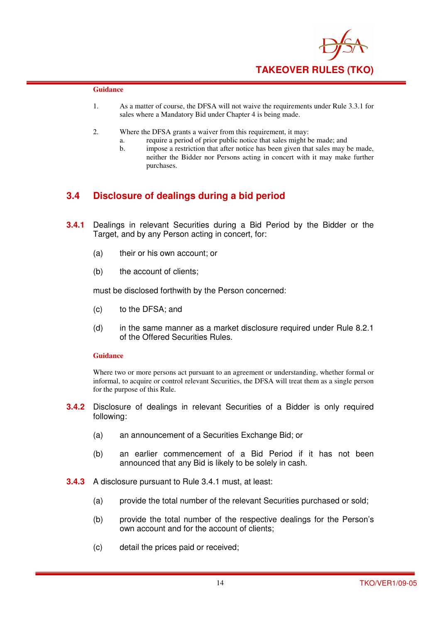

- 1. As a matter of course, the DFSA will not waive the requirements under Rule 3.3.1 for sales where a Mandatory Bid under Chapter 4 is being made.
- 2. Where the DFSA grants a waiver from this requirement, it may:
	- a. require a period of prior public notice that sales might be made; and
	- b. impose a restriction that after notice has been given that sales may be made, neither the Bidder nor Persons acting in concert with it may make further purchases.

## **3.4 Disclosure of dealings during a bid period**

- **3.4.1** Dealings in relevant Securities during a Bid Period by the Bidder or the Target, and by any Person acting in concert, for:
	- (a) their or his own account; or
	- (b) the account of clients;

must be disclosed forthwith by the Person concerned:

- (c) to the DFSA; and
- (d) in the same manner as a market disclosure required under Rule 8.2.1 of the Offered Securities Rules.

#### **Guidance**

Where two or more persons act pursuant to an agreement or understanding, whether formal or informal, to acquire or control relevant Securities, the DFSA will treat them as a single person for the purpose of this Rule.

- **3.4.2** Disclosure of dealings in relevant Securities of a Bidder is only required following:
	- (a) an announcement of a Securities Exchange Bid; or
	- (b) an earlier commencement of a Bid Period if it has not been announced that any Bid is likely to be solely in cash.
- **3.4.3** A disclosure pursuant to Rule 3.4.1 must, at least:
	- (a) provide the total number of the relevant Securities purchased or sold;
	- (b) provide the total number of the respective dealings for the Person's own account and for the account of clients;
	- (c) detail the prices paid or received;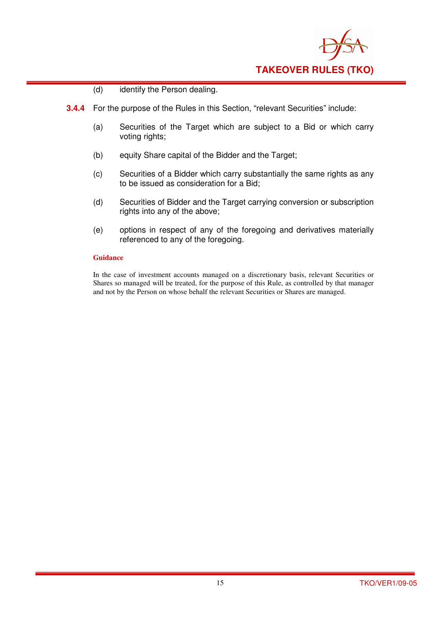

- (d) identify the Person dealing.
- **3.4.4** For the purpose of the Rules in this Section, "relevant Securities" include:
	- (a) Securities of the Target which are subject to a Bid or which carry voting rights;
	- (b) equity Share capital of the Bidder and the Target;
	- (c) Securities of a Bidder which carry substantially the same rights as any to be issued as consideration for a Bid;
	- (d) Securities of Bidder and the Target carrying conversion or subscription rights into any of the above;
	- (e) options in respect of any of the foregoing and derivatives materially referenced to any of the foregoing.

In the case of investment accounts managed on a discretionary basis, relevant Securities or Shares so managed will be treated, for the purpose of this Rule, as controlled by that manager and not by the Person on whose behalf the relevant Securities or Shares are managed.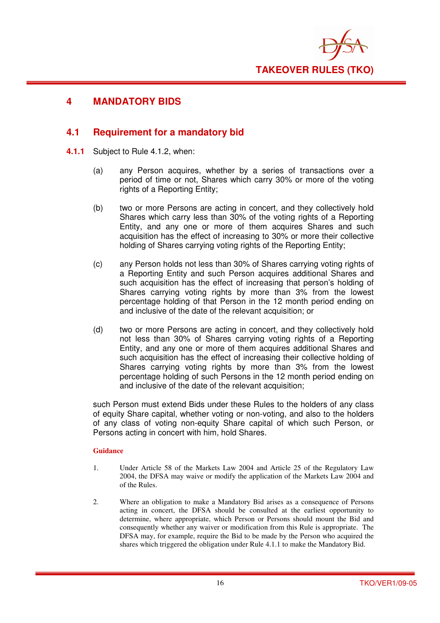

## **4 MANDATORY BIDS**

## **4.1 Requirement for a mandatory bid**

- **4.1.1** Subject to Rule 4.1.2, when:
	- (a) any Person acquires, whether by a series of transactions over a period of time or not, Shares which carry 30% or more of the voting rights of a Reporting Entity;
	- (b) two or more Persons are acting in concert, and they collectively hold Shares which carry less than 30% of the voting rights of a Reporting Entity, and any one or more of them acquires Shares and such acquisition has the effect of increasing to 30% or more their collective holding of Shares carrying voting rights of the Reporting Entity;
	- (c) any Person holds not less than 30% of Shares carrying voting rights of a Reporting Entity and such Person acquires additional Shares and such acquisition has the effect of increasing that person's holding of Shares carrying voting rights by more than 3% from the lowest percentage holding of that Person in the 12 month period ending on and inclusive of the date of the relevant acquisition; or
	- (d) two or more Persons are acting in concert, and they collectively hold not less than 30% of Shares carrying voting rights of a Reporting Entity, and any one or more of them acquires additional Shares and such acquisition has the effect of increasing their collective holding of Shares carrying voting rights by more than 3% from the lowest percentage holding of such Persons in the 12 month period ending on and inclusive of the date of the relevant acquisition;

such Person must extend Bids under these Rules to the holders of any class of equity Share capital, whether voting or non-voting, and also to the holders of any class of voting non-equity Share capital of which such Person, or Persons acting in concert with him, hold Shares.

- 1. Under Article 58 of the Markets Law 2004 and Article 25 of the Regulatory Law 2004, the DFSA may waive or modify the application of the Markets Law 2004 and of the Rules.
- 2. Where an obligation to make a Mandatory Bid arises as a consequence of Persons acting in concert, the DFSA should be consulted at the earliest opportunity to determine, where appropriate, which Person or Persons should mount the Bid and consequently whether any waiver or modification from this Rule is appropriate. The DFSA may, for example, require the Bid to be made by the Person who acquired the shares which triggered the obligation under Rule 4.1.1 to make the Mandatory Bid.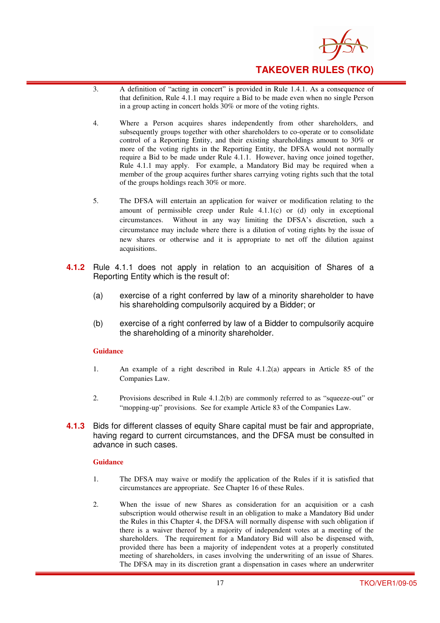

- 3. A definition of "acting in concert" is provided in Rule 1.4.1. As a consequence of that definition, Rule 4.1.1 may require a Bid to be made even when no single Person in a group acting in concert holds 30% or more of the voting rights.
- 4. Where a Person acquires shares independently from other shareholders, and subsequently groups together with other shareholders to co-operate or to consolidate control of a Reporting Entity, and their existing shareholdings amount to 30% or more of the voting rights in the Reporting Entity, the DFSA would not normally require a Bid to be made under Rule 4.1.1. However, having once joined together, Rule 4.1.1 may apply. For example, a Mandatory Bid may be required when a member of the group acquires further shares carrying voting rights such that the total of the groups holdings reach 30% or more.
- 5. The DFSA will entertain an application for waiver or modification relating to the amount of permissible creep under Rule 4.1.1(c) or (d) only in exceptional circumstances. Without in any way limiting the DFSA's discretion, such a circumstance may include where there is a dilution of voting rights by the issue of new shares or otherwise and it is appropriate to net off the dilution against acquisitions.
- **4.1.2** Rule 4.1.1 does not apply in relation to an acquisition of Shares of a Reporting Entity which is the result of:
	- (a) exercise of a right conferred by law of a minority shareholder to have his shareholding compulsorily acquired by a Bidder; or
	- (b) exercise of a right conferred by law of a Bidder to compulsorily acquire the shareholding of a minority shareholder.

- 1. An example of a right described in Rule 4.1.2(a) appears in Article 85 of the Companies Law.
- 2. Provisions described in Rule 4.1.2(b) are commonly referred to as "squeeze-out" or "mopping-up" provisions. See for example Article 83 of the Companies Law.
- **4.1.3** Bids for different classes of equity Share capital must be fair and appropriate, having regard to current circumstances, and the DFSA must be consulted in advance in such cases.

- 1. The DFSA may waive or modify the application of the Rules if it is satisfied that circumstances are appropriate. See Chapter 16 of these Rules.
- 2. When the issue of new Shares as consideration for an acquisition or a cash subscription would otherwise result in an obligation to make a Mandatory Bid under the Rules in this Chapter 4, the DFSA will normally dispense with such obligation if there is a waiver thereof by a majority of independent votes at a meeting of the shareholders. The requirement for a Mandatory Bid will also be dispensed with, provided there has been a majority of independent votes at a properly constituted meeting of shareholders, in cases involving the underwriting of an issue of Shares. The DFSA may in its discretion grant a dispensation in cases where an underwriter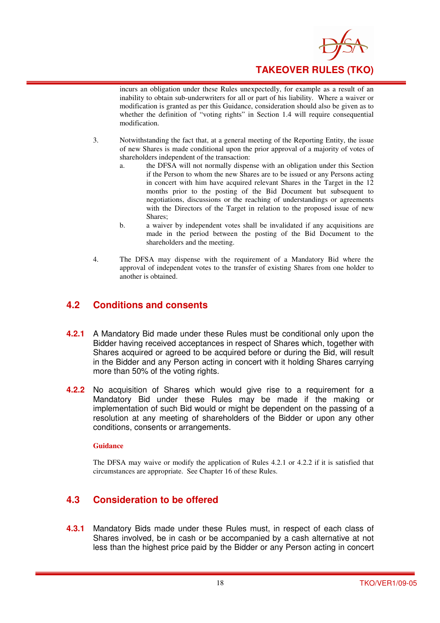

incurs an obligation under these Rules unexpectedly, for example as a result of an inability to obtain sub-underwriters for all or part of his liability. Where a waiver or modification is granted as per this Guidance, consideration should also be given as to whether the definition of "voting rights" in Section 1.4 will require consequential modification.

- 3. Notwithstanding the fact that, at a general meeting of the Reporting Entity, the issue of new Shares is made conditional upon the prior approval of a majority of votes of shareholders independent of the transaction:
	- a. the DFSA will not normally dispense with an obligation under this Section if the Person to whom the new Shares are to be issued or any Persons acting in concert with him have acquired relevant Shares in the Target in the 12 months prior to the posting of the Bid Document but subsequent to negotiations, discussions or the reaching of understandings or agreements with the Directors of the Target in relation to the proposed issue of new Shares;
	- b. a waiver by independent votes shall be invalidated if any acquisitions are made in the period between the posting of the Bid Document to the shareholders and the meeting.
- 4. The DFSA may dispense with the requirement of a Mandatory Bid where the approval of independent votes to the transfer of existing Shares from one holder to another is obtained.

## **4.2 Conditions and consents**

- **4.2.1** A Mandatory Bid made under these Rules must be conditional only upon the Bidder having received acceptances in respect of Shares which, together with Shares acquired or agreed to be acquired before or during the Bid, will result in the Bidder and any Person acting in concert with it holding Shares carrying more than 50% of the voting rights.
- **4.2.2** No acquisition of Shares which would give rise to a requirement for a Mandatory Bid under these Rules may be made if the making or implementation of such Bid would or might be dependent on the passing of a resolution at any meeting of shareholders of the Bidder or upon any other conditions, consents or arrangements.

#### **Guidance**

The DFSA may waive or modify the application of Rules 4.2.1 or 4.2.2 if it is satisfied that circumstances are appropriate. See Chapter 16 of these Rules.

## **4.3 Consideration to be offered**

**4.3.1** Mandatory Bids made under these Rules must, in respect of each class of Shares involved, be in cash or be accompanied by a cash alternative at not less than the highest price paid by the Bidder or any Person acting in concert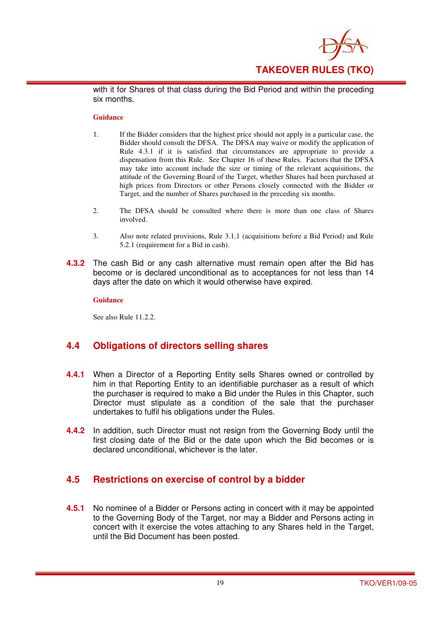

with it for Shares of that class during the Bid Period and within the preceding six months.

#### **Guidance**

- 1. If the Bidder considers that the highest price should not apply in a particular case, the Bidder should consult the DFSA. The DFSA may waive or modify the application of Rule 4.3.1 if it is satisfied that circumstances are appropriate to provide a dispensation from this Rule. See Chapter 16 of these Rules. Factors that the DFSA may take into account include the size or timing of the relevant acquisitions, the attitude of the Governing Board of the Target, whether Shares had been purchased at high prices from Directors or other Persons closely connected with the Bidder or Target, and the number of Shares purchased in the preceding six months.
- 2. The DFSA should be consulted where there is more than one class of Shares involved.
- 3. Also note related provisions, Rule 3.1.1 (acquisitions before a Bid Period) and Rule 5.2.1 (requirement for a Bid in cash).
- **4.3.2** The cash Bid or any cash alternative must remain open after the Bid has become or is declared unconditional as to acceptances for not less than 14 days after the date on which it would otherwise have expired.

#### **Guidance**

See also Rule 11.2.2.

## **4.4 Obligations of directors selling shares**

- **4.4.1** When a Director of a Reporting Entity sells Shares owned or controlled by him in that Reporting Entity to an identifiable purchaser as a result of which the purchaser is required to make a Bid under the Rules in this Chapter, such Director must stipulate as a condition of the sale that the purchaser undertakes to fulfil his obligations under the Rules.
- **4.4.2** In addition, such Director must not resign from the Governing Body until the first closing date of the Bid or the date upon which the Bid becomes or is declared unconditional, whichever is the later.

## **4.5 Restrictions on exercise of control by a bidder**

**4.5.1** No nominee of a Bidder or Persons acting in concert with it may be appointed to the Governing Body of the Target, nor may a Bidder and Persons acting in concert with it exercise the votes attaching to any Shares held in the Target, until the Bid Document has been posted.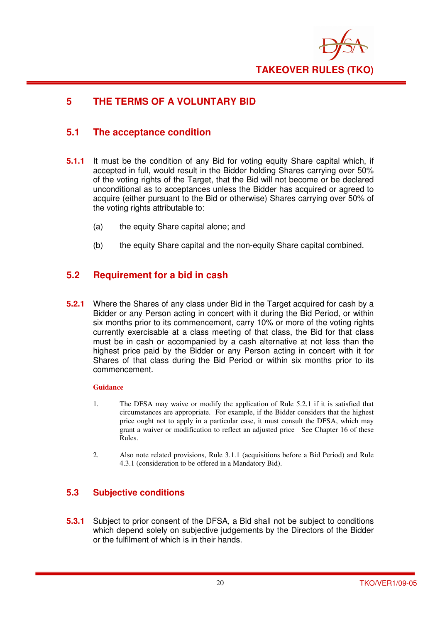

## **5 THE TERMS OF A VOLUNTARY BID**

## **5.1 The acceptance condition**

- **5.1.1** It must be the condition of any Bid for voting equity Share capital which, if accepted in full, would result in the Bidder holding Shares carrying over 50% of the voting rights of the Target, that the Bid will not become or be declared unconditional as to acceptances unless the Bidder has acquired or agreed to acquire (either pursuant to the Bid or otherwise) Shares carrying over 50% of the voting rights attributable to:
	- (a) the equity Share capital alone; and
	- (b) the equity Share capital and the non-equity Share capital combined.

## **5.2 Requirement for a bid in cash**

**5.2.1** Where the Shares of any class under Bid in the Target acquired for cash by a Bidder or any Person acting in concert with it during the Bid Period, or within six months prior to its commencement, carry 10% or more of the voting rights currently exercisable at a class meeting of that class, the Bid for that class must be in cash or accompanied by a cash alternative at not less than the highest price paid by the Bidder or any Person acting in concert with it for Shares of that class during the Bid Period or within six months prior to its commencement.

#### **Guidance**

- 1. The DFSA may waive or modify the application of Rule 5.2.1 if it is satisfied that circumstances are appropriate. For example, if the Bidder considers that the highest price ought not to apply in a particular case, it must consult the DFSA, which may grant a waiver or modification to reflect an adjusted price See Chapter 16 of these Rules.
- 2. Also note related provisions, Rule 3.1.1 (acquisitions before a Bid Period) and Rule 4.3.1 (consideration to be offered in a Mandatory Bid).

## **5.3 Subjective conditions**

**5.3.1** Subject to prior consent of the DFSA, a Bid shall not be subject to conditions which depend solely on subjective judgements by the Directors of the Bidder or the fulfilment of which is in their hands.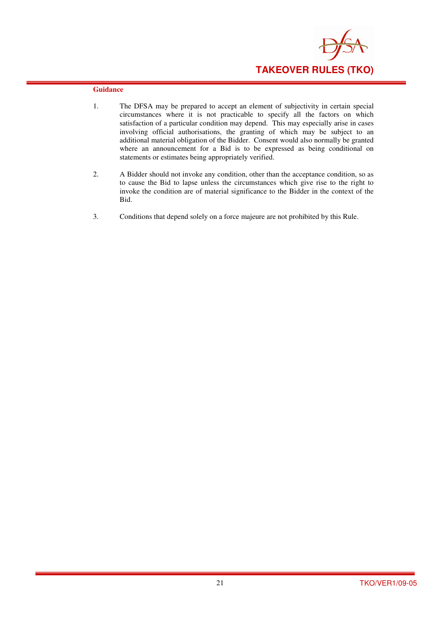

- 1. The DFSA may be prepared to accept an element of subjectivity in certain special circumstances where it is not practicable to specify all the factors on which satisfaction of a particular condition may depend. This may especially arise in cases involving official authorisations, the granting of which may be subject to an additional material obligation of the Bidder. Consent would also normally be granted where an announcement for a Bid is to be expressed as being conditional on statements or estimates being appropriately verified.
- 2. A Bidder should not invoke any condition, other than the acceptance condition, so as to cause the Bid to lapse unless the circumstances which give rise to the right to invoke the condition are of material significance to the Bidder in the context of the Bid.
- 3. Conditions that depend solely on a force majeure are not prohibited by this Rule.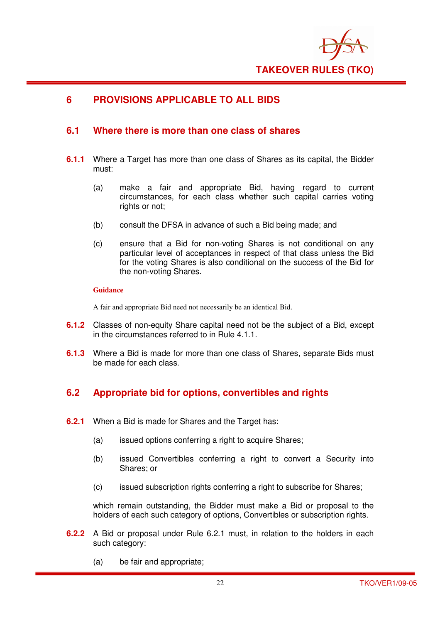

## **6 PROVISIONS APPLICABLE TO ALL BIDS**

## **6.1 Where there is more than one class of shares**

- **6.1.1** Where a Target has more than one class of Shares as its capital, the Bidder must:
	- (a) make a fair and appropriate Bid, having regard to current circumstances, for each class whether such capital carries voting rights or not;
	- (b) consult the DFSA in advance of such a Bid being made; and
	- (c) ensure that a Bid for non-voting Shares is not conditional on any particular level of acceptances in respect of that class unless the Bid for the voting Shares is also conditional on the success of the Bid for the non-voting Shares.

#### **Guidance**

A fair and appropriate Bid need not necessarily be an identical Bid.

- **6.1.2** Classes of non-equity Share capital need not be the subject of a Bid, except in the circumstances referred to in Rule 4.1.1.
- **6.1.3** Where a Bid is made for more than one class of Shares, separate Bids must be made for each class.

## **6.2 Appropriate bid for options, convertibles and rights**

- **6.2.1** When a Bid is made for Shares and the Target has:
	- (a) issued options conferring a right to acquire Shares;
	- (b) issued Convertibles conferring a right to convert a Security into Shares; or
	- (c) issued subscription rights conferring a right to subscribe for Shares;

which remain outstanding, the Bidder must make a Bid or proposal to the holders of each such category of options, Convertibles or subscription rights.

- **6.2.2** A Bid or proposal under Rule 6.2.1 must, in relation to the holders in each such category:
	- (a) be fair and appropriate;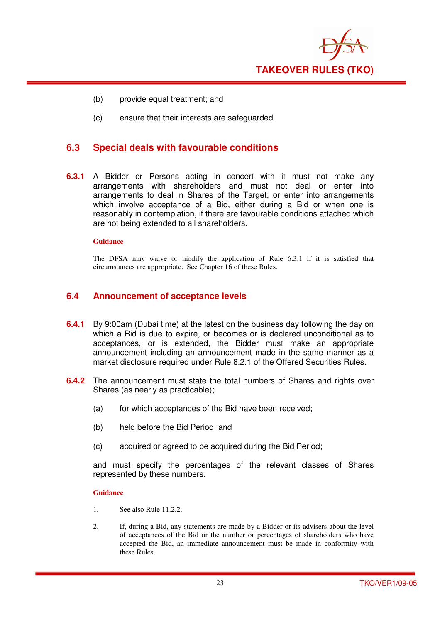

- (b) provide equal treatment; and
- (c) ensure that their interests are safeguarded.

## **6.3 Special deals with favourable conditions**

**6.3.1** A Bidder or Persons acting in concert with it must not make any arrangements with shareholders and must not deal or enter into arrangements to deal in Shares of the Target, or enter into arrangements which involve acceptance of a Bid, either during a Bid or when one is reasonably in contemplation, if there are favourable conditions attached which are not being extended to all shareholders.

#### **Guidance**

The DFSA may waive or modify the application of Rule 6.3.1 if it is satisfied that circumstances are appropriate. See Chapter 16 of these Rules.

### **6.4 Announcement of acceptance levels**

- **6.4.1** By 9:00am (Dubai time) at the latest on the business day following the day on which a Bid is due to expire, or becomes or is declared unconditional as to acceptances, or is extended, the Bidder must make an appropriate announcement including an announcement made in the same manner as a market disclosure required under Rule 8.2.1 of the Offered Securities Rules.
- **6.4.2** The announcement must state the total numbers of Shares and rights over Shares (as nearly as practicable);
	- (a) for which acceptances of the Bid have been received;
	- (b) held before the Bid Period; and
	- (c) acquired or agreed to be acquired during the Bid Period;

and must specify the percentages of the relevant classes of Shares represented by these numbers.

- 1. See also Rule 11.2.2.
- 2. If, during a Bid, any statements are made by a Bidder or its advisers about the level of acceptances of the Bid or the number or percentages of shareholders who have accepted the Bid, an immediate announcement must be made in conformity with these Rules.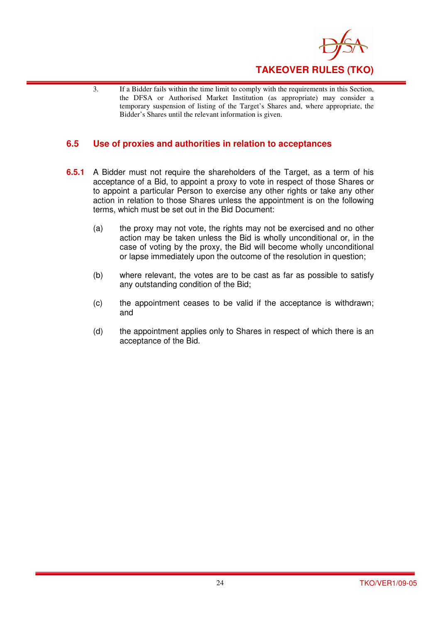

3. If a Bidder fails within the time limit to comply with the requirements in this Section, the DFSA or Authorised Market Institution (as appropriate) may consider a temporary suspension of listing of the Target's Shares and, where appropriate, the Bidder's Shares until the relevant information is given.

## **6.5 Use of proxies and authorities in relation to acceptances**

- **6.5.1** A Bidder must not require the shareholders of the Target, as a term of his acceptance of a Bid, to appoint a proxy to vote in respect of those Shares or to appoint a particular Person to exercise any other rights or take any other action in relation to those Shares unless the appointment is on the following terms, which must be set out in the Bid Document:
	- (a) the proxy may not vote, the rights may not be exercised and no other action may be taken unless the Bid is wholly unconditional or, in the case of voting by the proxy, the Bid will become wholly unconditional or lapse immediately upon the outcome of the resolution in question;
	- (b) where relevant, the votes are to be cast as far as possible to satisfy any outstanding condition of the Bid;
	- (c) the appointment ceases to be valid if the acceptance is withdrawn; and
	- (d) the appointment applies only to Shares in respect of which there is an acceptance of the Bid.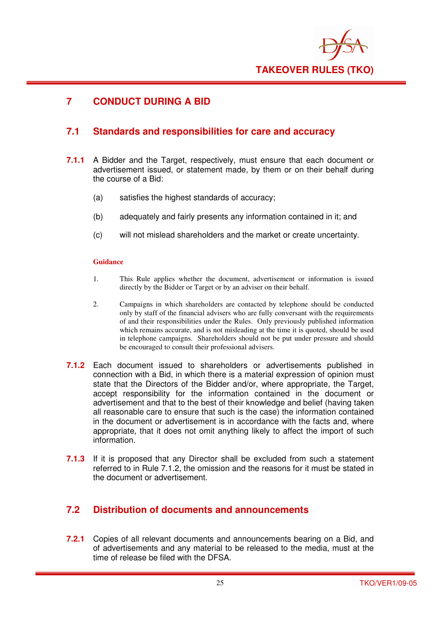

## **7 CONDUCT DURING A BID**

## **7.1 Standards and responsibilities for care and accuracy**

- **7.1.1** A Bidder and the Target, respectively, must ensure that each document or advertisement issued, or statement made, by them or on their behalf during the course of a Bid:
	- (a) satisfies the highest standards of accuracy;
	- (b) adequately and fairly presents any information contained in it; and
	- (c) will not mislead shareholders and the market or create uncertainty.

#### **Guidance**

- 1. This Rule applies whether the document, advertisement or information is issued directly by the Bidder or Target or by an adviser on their behalf.
- 2. Campaigns in which shareholders are contacted by telephone should be conducted only by staff of the financial advisers who are fully conversant with the requirements of and their responsibilities under the Rules. Only previously published information which remains accurate, and is not misleading at the time it is quoted, should be used in telephone campaigns. Shareholders should not be put under pressure and should be encouraged to consult their professional advisers.
- **7.1.2** Each document issued to shareholders or advertisements published in connection with a Bid, in which there is a material expression of opinion must state that the Directors of the Bidder and/or, where appropriate, the Target, accept responsibility for the information contained in the document or advertisement and that to the best of their knowledge and belief (having taken all reasonable care to ensure that such is the case) the information contained in the document or advertisement is in accordance with the facts and, where appropriate, that it does not omit anything likely to affect the import of such information.
- **7.1.3** If it is proposed that any Director shall be excluded from such a statement referred to in Rule 7.1.2, the omission and the reasons for it must be stated in the document or advertisement.

## **7.2 Distribution of documents and announcements**

**7.2.1** Copies of all relevant documents and announcements bearing on a Bid, and of advertisements and any material to be released to the media, must at the time of release be filed with the DFSA.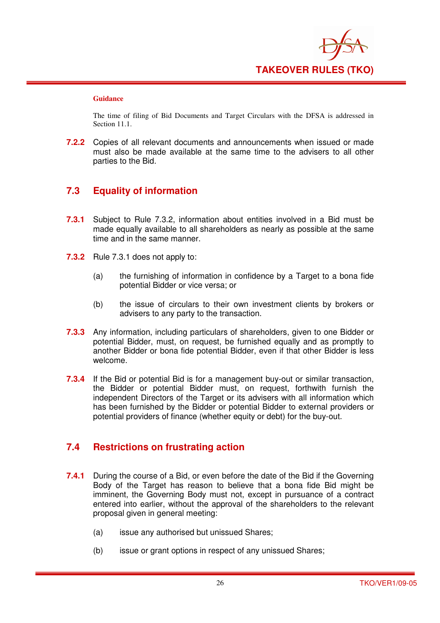

The time of filing of Bid Documents and Target Circulars with the DFSA is addressed in Section 11.1.

**7.2.2** Copies of all relevant documents and announcements when issued or made must also be made available at the same time to the advisers to all other parties to the Bid.

## **7.3 Equality of information**

- **7.3.1** Subject to Rule 7.3.2, information about entities involved in a Bid must be made equally available to all shareholders as nearly as possible at the same time and in the same manner.
- **7.3.2** Rule 7.3.1 does not apply to:
	- (a) the furnishing of information in confidence by a Target to a bona fide potential Bidder or vice versa; or
	- (b) the issue of circulars to their own investment clients by brokers or advisers to any party to the transaction.
- **7.3.3** Any information, including particulars of shareholders, given to one Bidder or potential Bidder, must, on request, be furnished equally and as promptly to another Bidder or bona fide potential Bidder, even if that other Bidder is less welcome.
- **7.3.4** If the Bid or potential Bid is for a management buy-out or similar transaction, the Bidder or potential Bidder must, on request, forthwith furnish the independent Directors of the Target or its advisers with all information which has been furnished by the Bidder or potential Bidder to external providers or potential providers of finance (whether equity or debt) for the buy-out.

## **7.4 Restrictions on frustrating action**

- **7.4.1** During the course of a Bid, or even before the date of the Bid if the Governing Body of the Target has reason to believe that a bona fide Bid might be imminent, the Governing Body must not, except in pursuance of a contract entered into earlier, without the approval of the shareholders to the relevant proposal given in general meeting:
	- (a) issue any authorised but unissued Shares;
	- (b) issue or grant options in respect of any unissued Shares;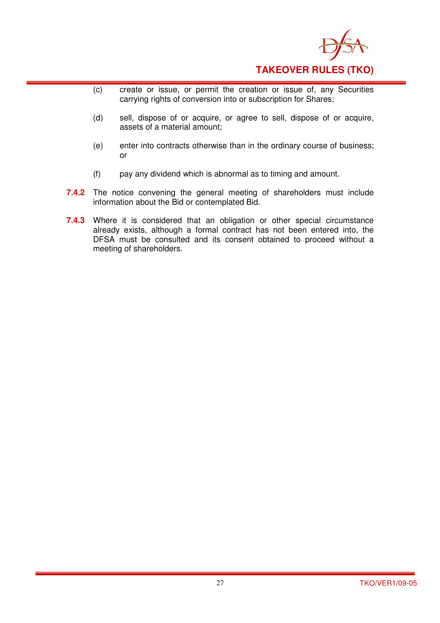

- (c) create or issue, or permit the creation or issue of, any Securities carrying rights of conversion into or subscription for Shares;
- (d) sell, dispose of or acquire, or agree to sell, dispose of or acquire, assets of a material amount;
- (e) enter into contracts otherwise than in the ordinary course of business; or
- (f) pay any dividend which is abnormal as to timing and amount.
- **7.4.2** The notice convening the general meeting of shareholders must include information about the Bid or contemplated Bid.
- **7.4.3** Where it is considered that an obligation or other special circumstance already exists, although a formal contract has not been entered into, the DFSA must be consulted and its consent obtained to proceed without a meeting of shareholders.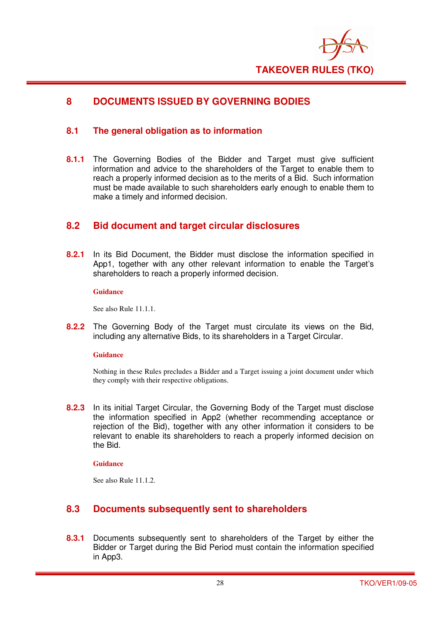

## **8 DOCUMENTS ISSUED BY GOVERNING BODIES**

## **8.1 The general obligation as to information**

**8.1.1** The Governing Bodies of the Bidder and Target must give sufficient information and advice to the shareholders of the Target to enable them to reach a properly informed decision as to the merits of a Bid. Such information must be made available to such shareholders early enough to enable them to make a timely and informed decision.

## **8.2 Bid document and target circular disclosures**

**8.2.1** In its Bid Document, the Bidder must disclose the information specified in App1, together with any other relevant information to enable the Target's shareholders to reach a properly informed decision.

#### **Guidance**

See also Rule 11.1.1.

**8.2.2** The Governing Body of the Target must circulate its views on the Bid, including any alternative Bids, to its shareholders in a Target Circular.

#### **Guidance**

Nothing in these Rules precludes a Bidder and a Target issuing a joint document under which they comply with their respective obligations.

**8.2.3** In its initial Target Circular, the Governing Body of the Target must disclose the information specified in App2 (whether recommending acceptance or rejection of the Bid), together with any other information it considers to be relevant to enable its shareholders to reach a properly informed decision on the Bid.

#### **Guidance**

See also Rule 11.1.2.

## **8.3 Documents subsequently sent to shareholders**

**8.3.1** Documents subsequently sent to shareholders of the Target by either the Bidder or Target during the Bid Period must contain the information specified in App3.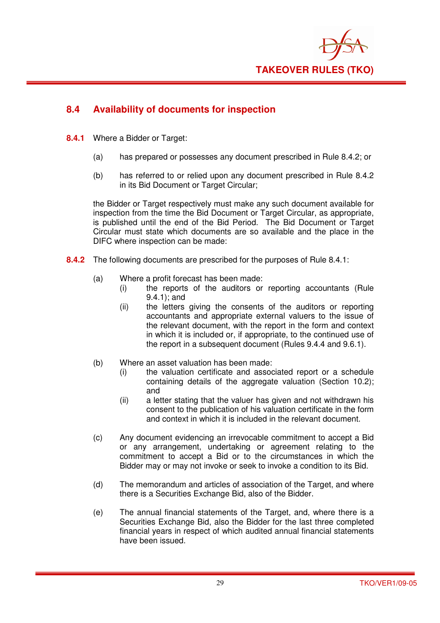

## **8.4 Availability of documents for inspection**

- **8.4.1** Where a Bidder or Target:
	- (a) has prepared or possesses any document prescribed in Rule 8.4.2; or
	- (b) has referred to or relied upon any document prescribed in Rule 8.4.2 in its Bid Document or Target Circular:

the Bidder or Target respectively must make any such document available for inspection from the time the Bid Document or Target Circular, as appropriate, is published until the end of the Bid Period. The Bid Document or Target Circular must state which documents are so available and the place in the DIFC where inspection can be made:

- **8.4.2** The following documents are prescribed for the purposes of Rule 8.4.1:
	- (a) Where a profit forecast has been made:
		- (i) the reports of the auditors or reporting accountants (Rule 9.4.1); and
		- (ii) the letters giving the consents of the auditors or reporting accountants and appropriate external valuers to the issue of the relevant document, with the report in the form and context in which it is included or, if appropriate, to the continued use of the report in a subsequent document (Rules 9.4.4 and 9.6.1).
	- (b) Where an asset valuation has been made:
		- (i) the valuation certificate and associated report or a schedule containing details of the aggregate valuation (Section 10.2); and
		- (ii) a letter stating that the valuer has given and not withdrawn his consent to the publication of his valuation certificate in the form and context in which it is included in the relevant document.
	- (c) Any document evidencing an irrevocable commitment to accept a Bid or any arrangement, undertaking or agreement relating to the commitment to accept a Bid or to the circumstances in which the Bidder may or may not invoke or seek to invoke a condition to its Bid.
	- (d) The memorandum and articles of association of the Target, and where there is a Securities Exchange Bid, also of the Bidder.
	- (e) The annual financial statements of the Target, and, where there is a Securities Exchange Bid, also the Bidder for the last three completed financial years in respect of which audited annual financial statements have been issued.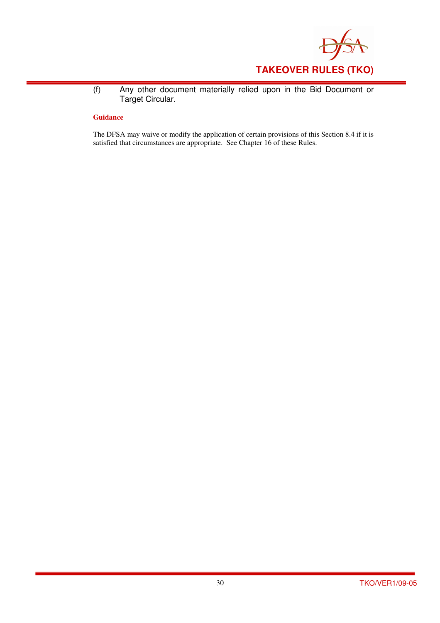

(f) Any other document materially relied upon in the Bid Document or Target Circular.

#### **Guidance**

The DFSA may waive or modify the application of certain provisions of this Section 8.4 if it is satisfied that circumstances are appropriate. See Chapter 16 of these Rules.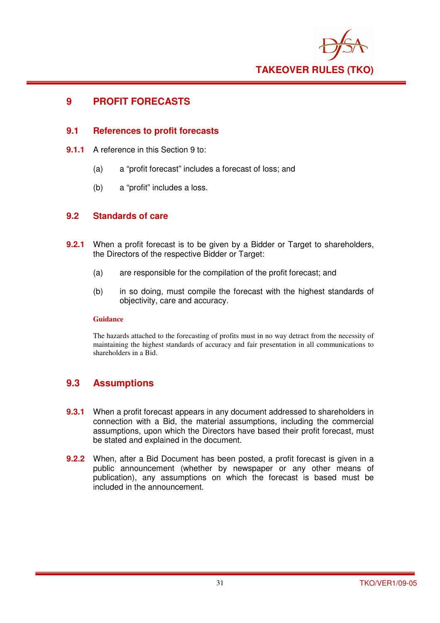

## **9 PROFIT FORECASTS**

## **9.1 References to profit forecasts**

- **9.1.1** A reference in this Section 9 to:
	- (a) a "profit forecast" includes a forecast of loss; and
	- (b) a "profit" includes a loss.

## **9.2 Standards of care**

- **9.2.1** When a profit forecast is to be given by a Bidder or Target to shareholders, the Directors of the respective Bidder or Target:
	- (a) are responsible for the compilation of the profit forecast; and
	- (b) in so doing, must compile the forecast with the highest standards of objectivity, care and accuracy.

#### **Guidance**

The hazards attached to the forecasting of profits must in no way detract from the necessity of maintaining the highest standards of accuracy and fair presentation in all communications to shareholders in a Bid.

## **9.3 Assumptions**

- **9.3.1** When a profit forecast appears in any document addressed to shareholders in connection with a Bid, the material assumptions, including the commercial assumptions, upon which the Directors have based their profit forecast, must be stated and explained in the document.
- **9.2.2** When, after a Bid Document has been posted, a profit forecast is given in a public announcement (whether by newspaper or any other means of publication), any assumptions on which the forecast is based must be included in the announcement.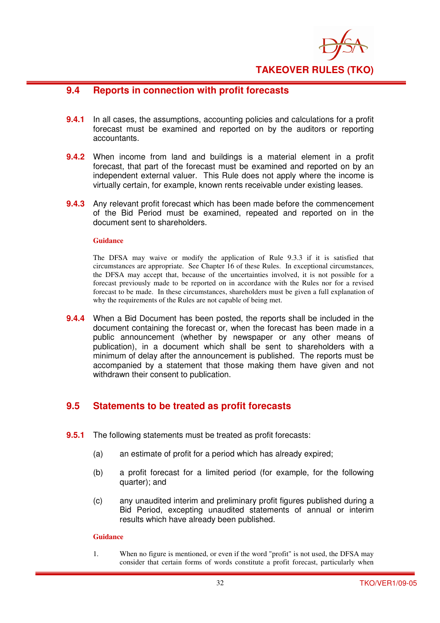

## **9.4 Reports in connection with profit forecasts**

- **9.4.1** In all cases, the assumptions, accounting policies and calculations for a profit forecast must be examined and reported on by the auditors or reporting accountants.
- **9.4.2** When income from land and buildings is a material element in a profit forecast, that part of the forecast must be examined and reported on by an independent external valuer. This Rule does not apply where the income is virtually certain, for example, known rents receivable under existing leases.
- **9.4.3** Any relevant profit forecast which has been made before the commencement of the Bid Period must be examined, repeated and reported on in the document sent to shareholders.

#### **Guidance**

The DFSA may waive or modify the application of Rule 9.3.3 if it is satisfied that circumstances are appropriate. See Chapter 16 of these Rules. In exceptional circumstances, the DFSA may accept that, because of the uncertainties involved, it is not possible for a forecast previously made to be reported on in accordance with the Rules nor for a revised forecast to be made. In these circumstances, shareholders must be given a full explanation of why the requirements of the Rules are not capable of being met.

**9.4.4** When a Bid Document has been posted, the reports shall be included in the document containing the forecast or, when the forecast has been made in a public announcement (whether by newspaper or any other means of publication), in a document which shall be sent to shareholders with a minimum of delay after the announcement is published. The reports must be accompanied by a statement that those making them have given and not withdrawn their consent to publication.

## **9.5 Statements to be treated as profit forecasts**

- **9.5.1** The following statements must be treated as profit forecasts:
	- (a) an estimate of profit for a period which has already expired;
	- (b) a profit forecast for a limited period (for example, for the following quarter); and
	- (c) any unaudited interim and preliminary profit figures published during a Bid Period, excepting unaudited statements of annual or interim results which have already been published.

#### **Guidance**

1. When no figure is mentioned, or even if the word "profit" is not used, the DFSA may consider that certain forms of words constitute a profit forecast, particularly when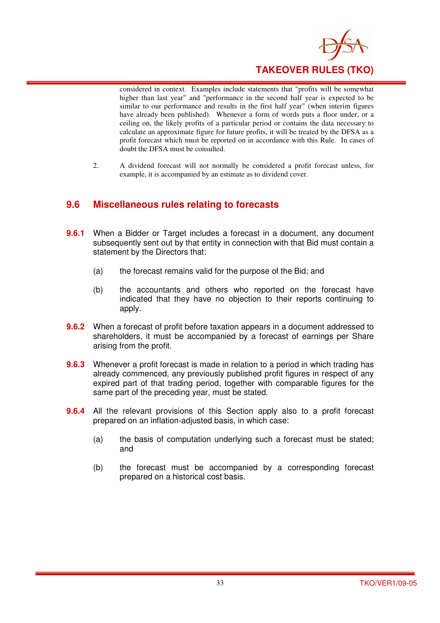

considered in context. Examples include statements that "profits will be somewhat higher than last year" and "performance in the second half year is expected to be similar to our performance and results in the first half year" (when interim figures have already been published). Whenever a form of words puts a floor under, or a ceiling on, the likely profits of a particular period or contains the data necessary to calculate an approximate figure for future profits, it will be treated by the DFSA as a profit forecast which must be reported on in accordance with this Rule. In cases of doubt the DFSA must be consulted.

2. A dividend forecast will not normally be considered a profit forecast unless, for example, it is accompanied by an estimate as to dividend cover.

## **9.6 Miscellaneous rules relating to forecasts**

- **9.6.1** When a Bidder or Target includes a forecast in a document, any document subsequently sent out by that entity in connection with that Bid must contain a statement by the Directors that:
	- (a) the forecast remains valid for the purpose of the Bid; and
	- (b) the accountants and others who reported on the forecast have indicated that they have no objection to their reports continuing to apply.
- **9.6.2** When a forecast of profit before taxation appears in a document addressed to shareholders, it must be accompanied by a forecast of earnings per Share arising from the profit.
- **9.6.3** Whenever a profit forecast is made in relation to a period in which trading has already commenced, any previously published profit figures in respect of any expired part of that trading period, together with comparable figures for the same part of the preceding year, must be stated.
- **9.6.4** All the relevant provisions of this Section apply also to a profit forecast prepared on an inflation-adjusted basis, in which case:
	- (a) the basis of computation underlying such a forecast must be stated; and
	- (b) the forecast must be accompanied by a corresponding forecast prepared on a historical cost basis.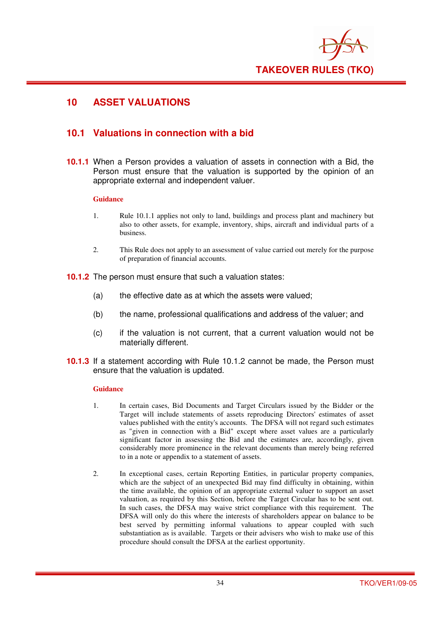

## **10 ASSET VALUATIONS**

## **10.1 Valuations in connection with a bid**

**10.1.1** When a Person provides a valuation of assets in connection with a Bid, the Person must ensure that the valuation is supported by the opinion of an appropriate external and independent valuer.

#### **Guidance**

- 1. Rule 10.1.1 applies not only to land, buildings and process plant and machinery but also to other assets, for example, inventory, ships, aircraft and individual parts of a business.
- 2. This Rule does not apply to an assessment of value carried out merely for the purpose of preparation of financial accounts.
- **10.1.2** The person must ensure that such a valuation states:
	- (a) the effective date as at which the assets were valued;
	- (b) the name, professional qualifications and address of the valuer; and
	- (c) if the valuation is not current, that a current valuation would not be materially different.
- **10.1.3** If a statement according with Rule 10.1.2 cannot be made, the Person must ensure that the valuation is updated.

- 1. In certain cases, Bid Documents and Target Circulars issued by the Bidder or the Target will include statements of assets reproducing Directors' estimates of asset values published with the entity's accounts. The DFSA will not regard such estimates as "given in connection with a Bid" except where asset values are a particularly significant factor in assessing the Bid and the estimates are, accordingly, given considerably more prominence in the relevant documents than merely being referred to in a note or appendix to a statement of assets.
- 2. In exceptional cases, certain Reporting Entities, in particular property companies, which are the subject of an unexpected Bid may find difficulty in obtaining, within the time available, the opinion of an appropriate external valuer to support an asset valuation, as required by this Section, before the Target Circular has to be sent out. In such cases, the DFSA may waive strict compliance with this requirement. The DFSA will only do this where the interests of shareholders appear on balance to be best served by permitting informal valuations to appear coupled with such substantiation as is available. Targets or their advisers who wish to make use of this procedure should consult the DFSA at the earliest opportunity.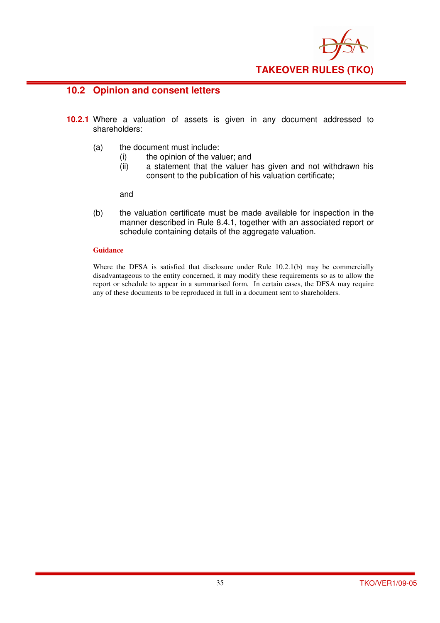

## **10.2 Opinion and consent letters**

- **10.2.1** Where a valuation of assets is given in any document addressed to shareholders:
	- (a) the document must include:
		- (i) the opinion of the valuer; and
		- (ii) a statement that the valuer has given and not withdrawn his consent to the publication of his valuation certificate;

and

(b) the valuation certificate must be made available for inspection in the manner described in Rule 8.4.1, together with an associated report or schedule containing details of the aggregate valuation.

#### **Guidance**

Where the DFSA is satisfied that disclosure under Rule 10.2.1(b) may be commercially disadvantageous to the entity concerned, it may modify these requirements so as to allow the report or schedule to appear in a summarised form. In certain cases, the DFSA may require any of these documents to be reproduced in full in a document sent to shareholders.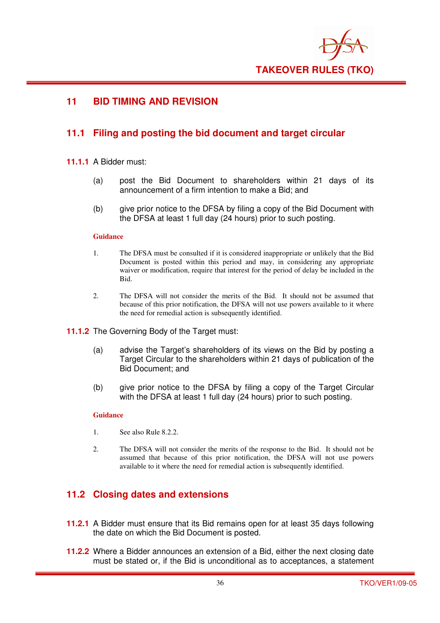

## **11 BID TIMING AND REVISION**

## **11.1 Filing and posting the bid document and target circular**

#### **11.1.1** A Bidder must:

- (a) post the Bid Document to shareholders within 21 days of its announcement of a firm intention to make a Bid; and
- (b) give prior notice to the DFSA by filing a copy of the Bid Document with the DFSA at least 1 full day (24 hours) prior to such posting.

#### **Guidance**

- 1. The DFSA must be consulted if it is considered inappropriate or unlikely that the Bid Document is posted within this period and may, in considering any appropriate waiver or modification, require that interest for the period of delay be included in the Bid.
- 2. The DFSA will not consider the merits of the Bid. It should not be assumed that because of this prior notification, the DFSA will not use powers available to it where the need for remedial action is subsequently identified.
- **11.1.2** The Governing Body of the Target must:
	- (a) advise the Target's shareholders of its views on the Bid by posting a Target Circular to the shareholders within 21 days of publication of the Bid Document; and
	- (b) give prior notice to the DFSA by filing a copy of the Target Circular with the DFSA at least 1 full day (24 hours) prior to such posting.

#### **Guidance**

- 1. See also Rule 8.2.2.
- 2. The DFSA will not consider the merits of the response to the Bid. It should not be assumed that because of this prior notification, the DFSA will not use powers available to it where the need for remedial action is subsequently identified.

## **11.2 Closing dates and extensions**

- **11.2.1** A Bidder must ensure that its Bid remains open for at least 35 days following the date on which the Bid Document is posted.
- **11.2.2** Where a Bidder announces an extension of a Bid, either the next closing date must be stated or, if the Bid is unconditional as to acceptances, a statement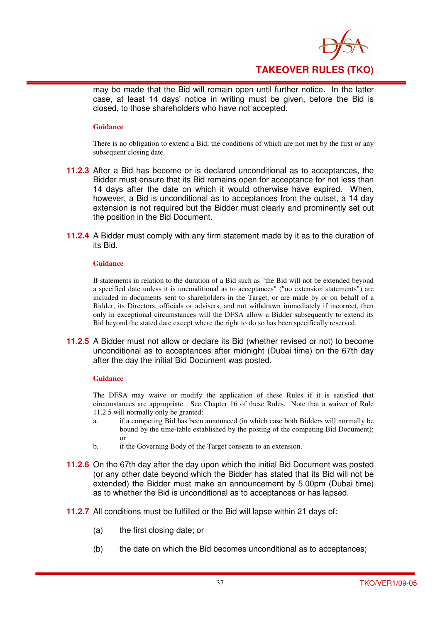

may be made that the Bid will remain open until further notice. In the latter case, at least 14 days' notice in writing must be given, before the Bid is closed, to those shareholders who have not accepted.

#### **Guidance**

There is no obligation to extend a Bid, the conditions of which are not met by the first or any subsequent closing date.

- **11.2.3** After a Bid has become or is declared unconditional as to acceptances, the Bidder must ensure that its Bid remains open for acceptance for not less than 14 days after the date on which it would otherwise have expired. When, however, a Bid is unconditional as to acceptances from the outset, a 14 day extension is not required but the Bidder must clearly and prominently set out the position in the Bid Document.
- **11.2.4** A Bidder must comply with any firm statement made by it as to the duration of its Bid.

#### **Guidance**

If statements in relation to the duration of a Bid such as "the Bid will not be extended beyond a specified date unless it is unconditional as to acceptances" ("no extension statements") are included in documents sent to shareholders in the Target, or are made by or on behalf of a Bidder, its Directors, officials or advisers, and not withdrawn immediately if incorrect, then only in exceptional circumstances will the DFSA allow a Bidder subsequently to extend its Bid beyond the stated date except where the right to do so has been specifically reserved.

**11.2.5** A Bidder must not allow or declare its Bid (whether revised or not) to become unconditional as to acceptances after midnight (Dubai time) on the 67th day after the day the initial Bid Document was posted.

#### **Guidance**

The DFSA may waive or modify the application of these Rules if it is satisfied that circumstances are appropriate. See Chapter 16 of these Rules. Note that a waiver of Rule 11.2.5 will normally only be granted:

- a. if a competing Bid has been announced (in which case both Bidders will normally be bound by the time-table established by the posting of the competing Bid Document); or
- b. if the Governing Body of the Target consents to an extension.
- **11.2.6** On the 67th day after the day upon which the initial Bid Document was posted (or any other date beyond which the Bidder has stated that its Bid will not be extended) the Bidder must make an announcement by 5.00pm (Dubai time) as to whether the Bid is unconditional as to acceptances or has lapsed.
- **11.2.7** All conditions must be fulfilled or the Bid will lapse within 21 days of:
	- (a) the first closing date; or
	- (b) the date on which the Bid becomes unconditional as to acceptances;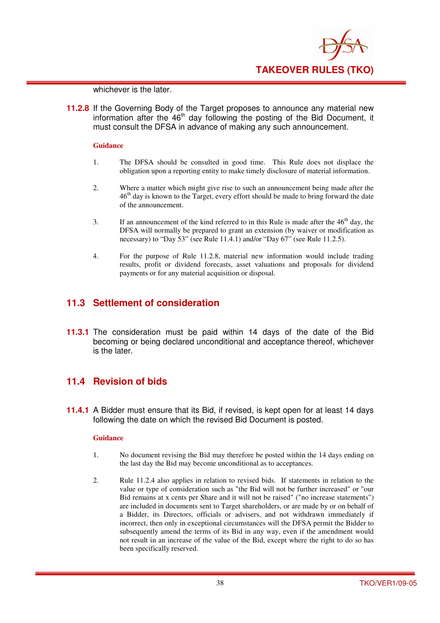

whichever is the later.

**11.2.8** If the Governing Body of the Target proposes to announce any material new information after the  $46<sup>th</sup>$  day following the posting of the Bid Document, it must consult the DFSA in advance of making any such announcement.

#### **Guidance**

- 1. The DFSA should be consulted in good time. This Rule does not displace the obligation upon a reporting entity to make timely disclosure of material information.
- 2. Where a matter which might give rise to such an announcement being made after the  $46<sup>th</sup>$  day is known to the Target, every effort should be made to bring forward the date of the announcement.
- 3. If an announcement of the kind referred to in this Rule is made after the  $46<sup>th</sup>$  day, the DFSA will normally be prepared to grant an extension (by waiver or modification as necessary) to "Day 53" (see Rule 11.4.1) and/or "Day 67" (see Rule 11.2.5).
- 4. For the purpose of Rule 11.2.8, material new information would include trading results, profit or dividend forecasts, asset valuations and proposals for dividend payments or for any material acquisition or disposal.

## **11.3 Settlement of consideration**

**11.3.1** The consideration must be paid within 14 days of the date of the Bid becoming or being declared unconditional and acceptance thereof, whichever is the later.

## **11.4 Revision of bids**

**11.4.1** A Bidder must ensure that its Bid, if revised, is kept open for at least 14 days following the date on which the revised Bid Document is posted.

- 1. No document revising the Bid may therefore be posted within the 14 days ending on the last day the Bid may become unconditional as to acceptances.
- 2. Rule 11.2.4 also applies in relation to revised bids. If statements in relation to the value or type of consideration such as "the Bid will not be further increased" or "our Bid remains at x cents per Share and it will not be raised" ("no increase statements") are included in documents sent to Target shareholders, or are made by or on behalf of a Bidder, its Directors, officials or advisers, and not withdrawn immediately if incorrect, then only in exceptional circumstances will the DFSA permit the Bidder to subsequently amend the terms of its Bid in any way, even if the amendment would not result in an increase of the value of the Bid, except where the right to do so has been specifically reserved.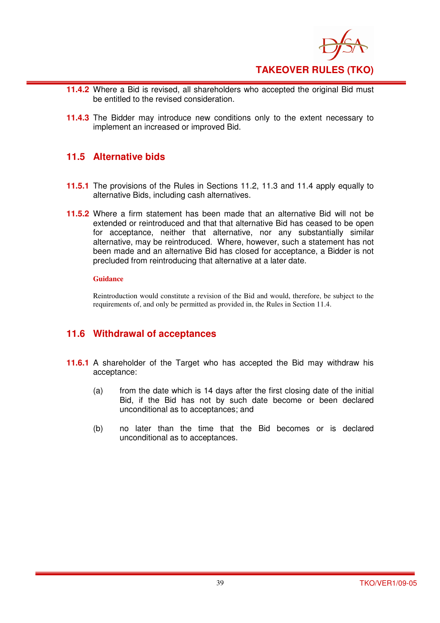

- **11.4.2** Where a Bid is revised, all shareholders who accepted the original Bid must be entitled to the revised consideration.
- **11.4.3** The Bidder may introduce new conditions only to the extent necessary to implement an increased or improved Bid.

## **11.5 Alternative bids**

- **11.5.1** The provisions of the Rules in Sections 11.2, 11.3 and 11.4 apply equally to alternative Bids, including cash alternatives.
- **11.5.2** Where a firm statement has been made that an alternative Bid will not be extended or reintroduced and that that alternative Bid has ceased to be open for acceptance, neither that alternative, nor any substantially similar alternative, may be reintroduced. Where, however, such a statement has not been made and an alternative Bid has closed for acceptance, a Bidder is not precluded from reintroducing that alternative at a later date.

#### **Guidance**

Reintroduction would constitute a revision of the Bid and would, therefore, be subject to the requirements of, and only be permitted as provided in, the Rules in Section 11.4.

## **11.6 Withdrawal of acceptances**

- **11.6.1** A shareholder of the Target who has accepted the Bid may withdraw his acceptance:
	- (a) from the date which is 14 days after the first closing date of the initial Bid, if the Bid has not by such date become or been declared unconditional as to acceptances; and
	- (b) no later than the time that the Bid becomes or is declared unconditional as to acceptances.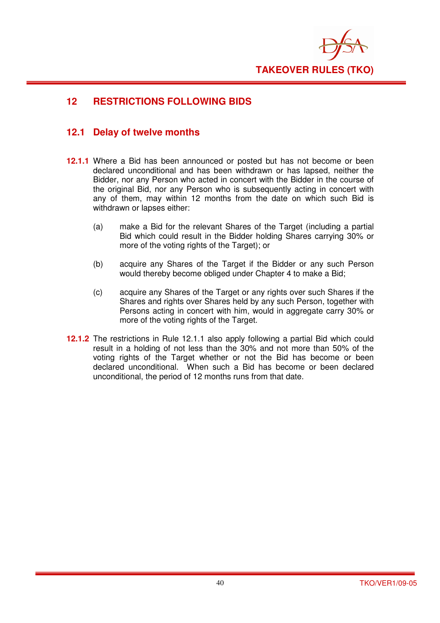

## **12 RESTRICTIONS FOLLOWING BIDS**

## **12.1 Delay of twelve months**

- **12.1.1** Where a Bid has been announced or posted but has not become or been declared unconditional and has been withdrawn or has lapsed, neither the Bidder, nor any Person who acted in concert with the Bidder in the course of the original Bid, nor any Person who is subsequently acting in concert with any of them, may within 12 months from the date on which such Bid is withdrawn or lapses either:
	- (a) make a Bid for the relevant Shares of the Target (including a partial Bid which could result in the Bidder holding Shares carrying 30% or more of the voting rights of the Target); or
	- (b) acquire any Shares of the Target if the Bidder or any such Person would thereby become obliged under Chapter 4 to make a Bid;
	- (c) acquire any Shares of the Target or any rights over such Shares if the Shares and rights over Shares held by any such Person, together with Persons acting in concert with him, would in aggregate carry 30% or more of the voting rights of the Target.
- **12.1.2** The restrictions in Rule 12.1.1 also apply following a partial Bid which could result in a holding of not less than the 30% and not more than 50% of the voting rights of the Target whether or not the Bid has become or been declared unconditional. When such a Bid has become or been declared unconditional, the period of 12 months runs from that date.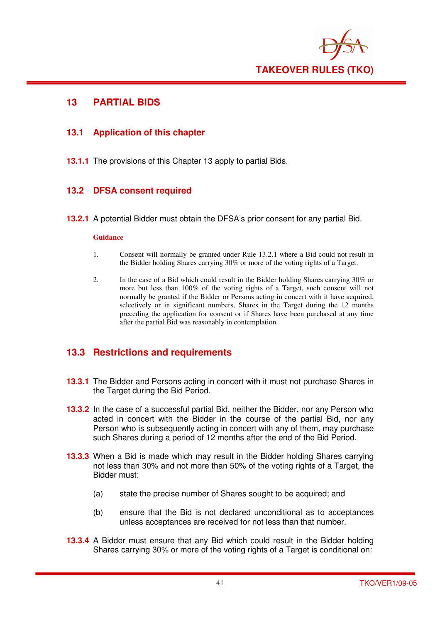

## **13 PARTIAL BIDS**

## **13.1 Application of this chapter**

**13.1.1** The provisions of this Chapter 13 apply to partial Bids.

## **13.2 DFSA consent required**

**13.2.1** A potential Bidder must obtain the DFSA's prior consent for any partial Bid.

#### **Guidance**

- 1. Consent will normally be granted under Rule 13.2.1 where a Bid could not result in the Bidder holding Shares carrying 30% or more of the voting rights of a Target.
- 2. In the case of a Bid which could result in the Bidder holding Shares carrying 30% or more but less than 100% of the voting rights of a Target, such consent will not normally be granted if the Bidder or Persons acting in concert with it have acquired, selectively or in significant numbers, Shares in the Target during the 12 months preceding the application for consent or if Shares have been purchased at any time after the partial Bid was reasonably in contemplation.

## **13.3 Restrictions and requirements**

- **13.3.1** The Bidder and Persons acting in concert with it must not purchase Shares in the Target during the Bid Period.
- **13.3.2** In the case of a successful partial Bid, neither the Bidder, nor any Person who acted in concert with the Bidder in the course of the partial Bid, nor any Person who is subsequently acting in concert with any of them, may purchase such Shares during a period of 12 months after the end of the Bid Period.
- **13.3.3** When a Bid is made which may result in the Bidder holding Shares carrying not less than 30% and not more than 50% of the voting rights of a Target, the Bidder must:
	- (a) state the precise number of Shares sought to be acquired; and
	- (b) ensure that the Bid is not declared unconditional as to acceptances unless acceptances are received for not less than that number.
- **13.3.4** A Bidder must ensure that any Bid which could result in the Bidder holding Shares carrying 30% or more of the voting rights of a Target is conditional on: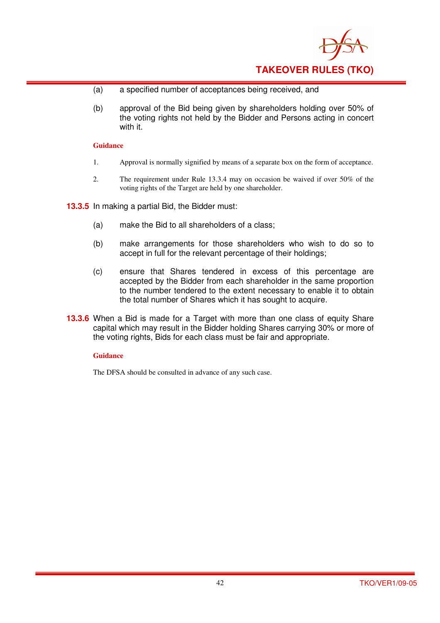

- (a) a specified number of acceptances being received, and
- (b) approval of the Bid being given by shareholders holding over 50% of the voting rights not held by the Bidder and Persons acting in concert with it.

- 1. Approval is normally signified by means of a separate box on the form of acceptance.
- 2. The requirement under Rule 13.3.4 may on occasion be waived if over 50% of the voting rights of the Target are held by one shareholder.

**13.3.5** In making a partial Bid, the Bidder must:

- (a) make the Bid to all shareholders of a class;
- (b) make arrangements for those shareholders who wish to do so to accept in full for the relevant percentage of their holdings;
- (c) ensure that Shares tendered in excess of this percentage are accepted by the Bidder from each shareholder in the same proportion to the number tendered to the extent necessary to enable it to obtain the total number of Shares which it has sought to acquire.
- **13.3.6** When a Bid is made for a Target with more than one class of equity Share capital which may result in the Bidder holding Shares carrying 30% or more of the voting rights, Bids for each class must be fair and appropriate.

#### **Guidance**

The DFSA should be consulted in advance of any such case.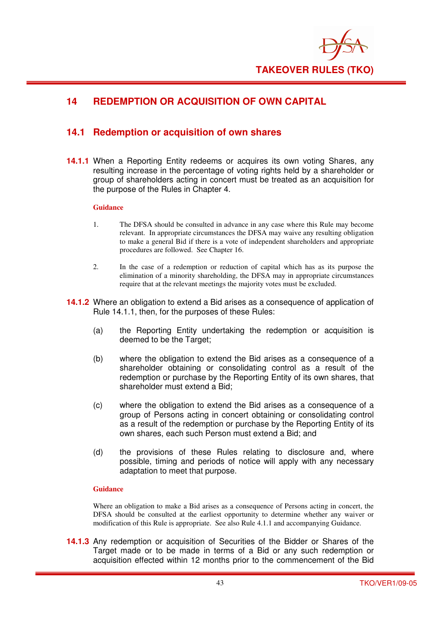

## **14 REDEMPTION OR ACQUISITION OF OWN CAPITAL**

## **14.1 Redemption or acquisition of own shares**

**14.1.1** When a Reporting Entity redeems or acquires its own voting Shares, any resulting increase in the percentage of voting rights held by a shareholder or group of shareholders acting in concert must be treated as an acquisition for the purpose of the Rules in Chapter 4.

#### **Guidance**

- 1. The DFSA should be consulted in advance in any case where this Rule may become relevant. In appropriate circumstances the DFSA may waive any resulting obligation to make a general Bid if there is a vote of independent shareholders and appropriate procedures are followed. See Chapter 16.
- 2. In the case of a redemption or reduction of capital which has as its purpose the elimination of a minority shareholding, the DFSA may in appropriate circumstances require that at the relevant meetings the majority votes must be excluded.
- **14.1.2** Where an obligation to extend a Bid arises as a consequence of application of Rule 14.1.1, then, for the purposes of these Rules:
	- (a) the Reporting Entity undertaking the redemption or acquisition is deemed to be the Target;
	- (b) where the obligation to extend the Bid arises as a consequence of a shareholder obtaining or consolidating control as a result of the redemption or purchase by the Reporting Entity of its own shares, that shareholder must extend a Bid;
	- (c) where the obligation to extend the Bid arises as a consequence of a group of Persons acting in concert obtaining or consolidating control as a result of the redemption or purchase by the Reporting Entity of its own shares, each such Person must extend a Bid; and
	- (d) the provisions of these Rules relating to disclosure and, where possible, timing and periods of notice will apply with any necessary adaptation to meet that purpose.

#### **Guidance**

Where an obligation to make a Bid arises as a consequence of Persons acting in concert, the DFSA should be consulted at the earliest opportunity to determine whether any waiver or modification of this Rule is appropriate. See also Rule 4.1.1 and accompanying Guidance.

**14.1.3** Any redemption or acquisition of Securities of the Bidder or Shares of the Target made or to be made in terms of a Bid or any such redemption or acquisition effected within 12 months prior to the commencement of the Bid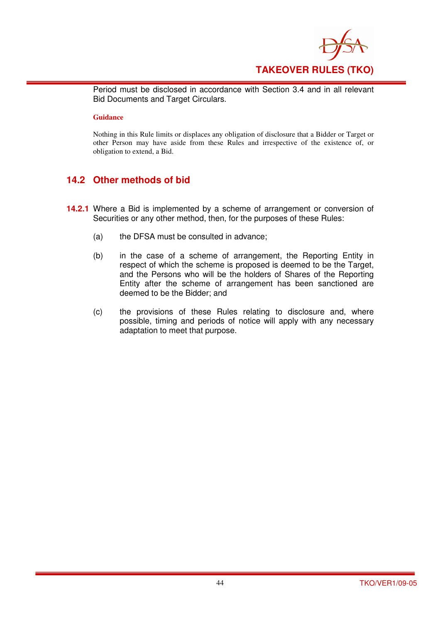

Period must be disclosed in accordance with Section 3.4 and in all relevant Bid Documents and Target Circulars.

#### **Guidance**

Nothing in this Rule limits or displaces any obligation of disclosure that a Bidder or Target or other Person may have aside from these Rules and irrespective of the existence of, or obligation to extend, a Bid.

## **14.2 Other methods of bid**

- **14.2.1** Where a Bid is implemented by a scheme of arrangement or conversion of Securities or any other method, then, for the purposes of these Rules:
	- (a) the DFSA must be consulted in advance;
	- (b) in the case of a scheme of arrangement, the Reporting Entity in respect of which the scheme is proposed is deemed to be the Target, and the Persons who will be the holders of Shares of the Reporting Entity after the scheme of arrangement has been sanctioned are deemed to be the Bidder; and
	- (c) the provisions of these Rules relating to disclosure and, where possible, timing and periods of notice will apply with any necessary adaptation to meet that purpose.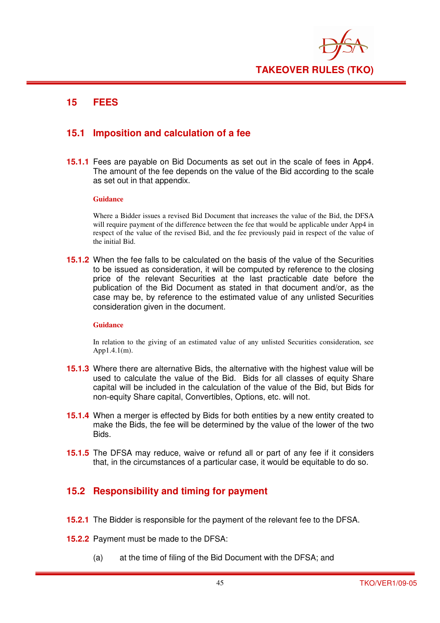

## **15 FEES**

## **15.1 Imposition and calculation of a fee**

**15.1.1** Fees are payable on Bid Documents as set out in the scale of fees in App4. The amount of the fee depends on the value of the Bid according to the scale as set out in that appendix.

#### **Guidance**

Where a Bidder issues a revised Bid Document that increases the value of the Bid, the DFSA will require payment of the difference between the fee that would be applicable under App4 in respect of the value of the revised Bid, and the fee previously paid in respect of the value of the initial Bid.

**15.1.2** When the fee falls to be calculated on the basis of the value of the Securities to be issued as consideration, it will be computed by reference to the closing price of the relevant Securities at the last practicable date before the publication of the Bid Document as stated in that document and/or, as the case may be, by reference to the estimated value of any unlisted Securities consideration given in the document.

#### **Guidance**

In relation to the giving of an estimated value of any unlisted Securities consideration, see App1.4.1(m).

- **15.1.3** Where there are alternative Bids, the alternative with the highest value will be used to calculate the value of the Bid. Bids for all classes of equity Share capital will be included in the calculation of the value of the Bid, but Bids for non-equity Share capital, Convertibles, Options, etc. will not.
- **15.1.4** When a merger is effected by Bids for both entities by a new entity created to make the Bids, the fee will be determined by the value of the lower of the two Bids.
- **15.1.5** The DFSA may reduce, waive or refund all or part of any fee if it considers that, in the circumstances of a particular case, it would be equitable to do so.

## **15.2 Responsibility and timing for payment**

- **15.2.1** The Bidder is responsible for the payment of the relevant fee to the DFSA.
- **15.2.2** Payment must be made to the DFSA:
	- (a) at the time of filing of the Bid Document with the DFSA; and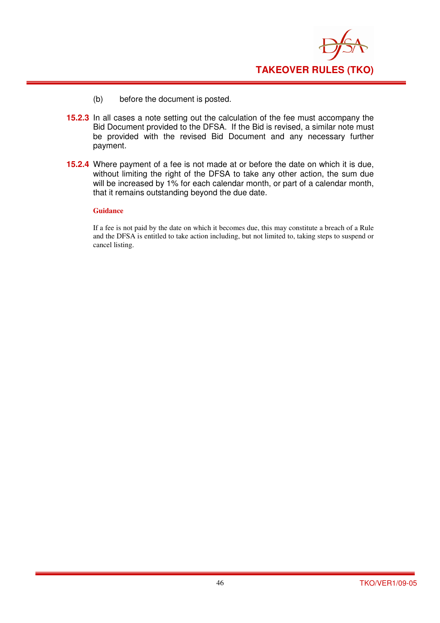

- (b) before the document is posted.
- **15.2.3** In all cases a note setting out the calculation of the fee must accompany the Bid Document provided to the DFSA. If the Bid is revised, a similar note must be provided with the revised Bid Document and any necessary further payment.
- **15.2.4** Where payment of a fee is not made at or before the date on which it is due, without limiting the right of the DFSA to take any other action, the sum due will be increased by 1% for each calendar month, or part of a calendar month, that it remains outstanding beyond the due date.

If a fee is not paid by the date on which it becomes due, this may constitute a breach of a Rule and the DFSA is entitled to take action including, but not limited to, taking steps to suspend or cancel listing.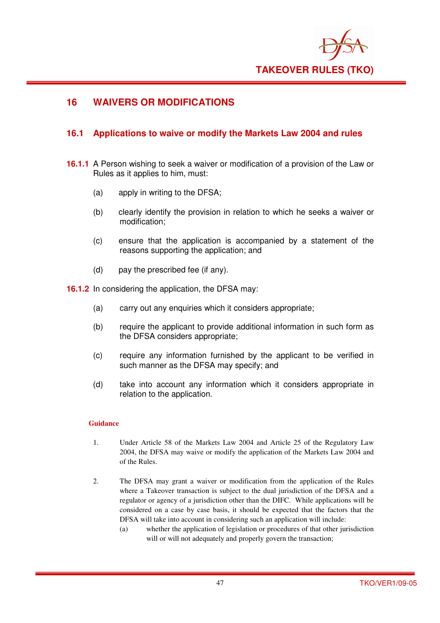

## **16 WAIVERS OR MODIFICATIONS**

## **16.1 Applications to waive or modify the Markets Law 2004 and rules**

- **16.1.1** A Person wishing to seek a waiver or modification of a provision of the Law or Rules as it applies to him, must:
	- (a) apply in writing to the DFSA;
	- (b) clearly identify the provision in relation to which he seeks a waiver or modification;
	- (c) ensure that the application is accompanied by a statement of the reasons supporting the application; and
	- (d) pay the prescribed fee (if any).

**16.1.2** In considering the application, the DFSA may:

- (a) carry out any enquiries which it considers appropriate;
- (b) require the applicant to provide additional information in such form as the DFSA considers appropriate;
- (c) require any information furnished by the applicant to be verified in such manner as the DFSA may specify; and
- (d) take into account any information which it considers appropriate in relation to the application.

- 1. Under Article 58 of the Markets Law 2004 and Article 25 of the Regulatory Law 2004, the DFSA may waive or modify the application of the Markets Law 2004 and of the Rules.
- 2. The DFSA may grant a waiver or modification from the application of the Rules where a Takeover transaction is subject to the dual jurisdiction of the DFSA and a regulator or agency of a jurisdiction other than the DIFC. While applications will be considered on a case by case basis, it should be expected that the factors that the DFSA will take into account in considering such an application will include:
	- (a) whether the application of legislation or procedures of that other jurisdiction will or will not adequately and properly govern the transaction;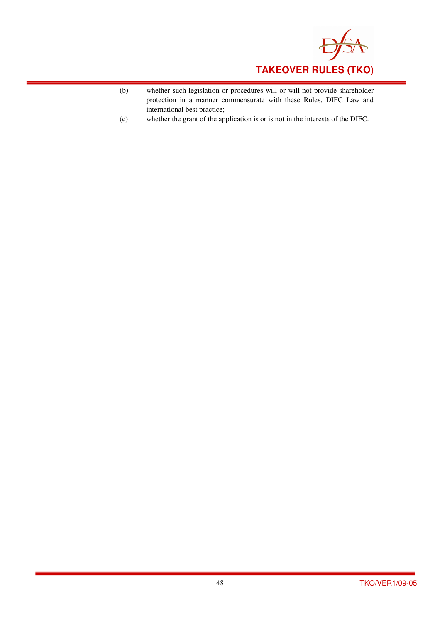

- (b) whether such legislation or procedures will or will not provide shareholder protection in a manner commensurate with these Rules, DIFC Law and international best practice;
- (c) whether the grant of the application is or is not in the interests of the DIFC.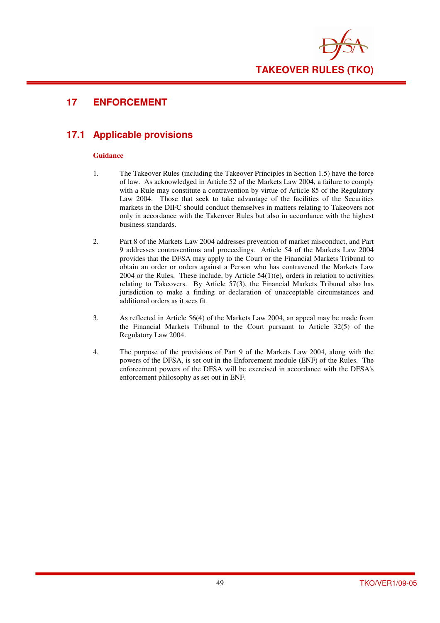

## **17 ENFORCEMENT**

## **17.1 Applicable provisions**

- 1. The Takeover Rules (including the Takeover Principles in Section 1.5) have the force of law. As acknowledged in Article 52 of the Markets Law 2004, a failure to comply with a Rule may constitute a contravention by virtue of Article 85 of the Regulatory Law 2004. Those that seek to take advantage of the facilities of the Securities markets in the DIFC should conduct themselves in matters relating to Takeovers not only in accordance with the Takeover Rules but also in accordance with the highest business standards.
- 2. Part 8 of the Markets Law 2004 addresses prevention of market misconduct, and Part 9 addresses contraventions and proceedings. Article 54 of the Markets Law 2004 provides that the DFSA may apply to the Court or the Financial Markets Tribunal to obtain an order or orders against a Person who has contravened the Markets Law  $2004$  or the Rules. These include, by Article  $54(1)(e)$ , orders in relation to activities relating to Takeovers. By Article 57(3), the Financial Markets Tribunal also has jurisdiction to make a finding or declaration of unacceptable circumstances and additional orders as it sees fit.
- 3. As reflected in Article 56(4) of the Markets Law 2004, an appeal may be made from the Financial Markets Tribunal to the Court pursuant to Article 32(5) of the Regulatory Law 2004.
- 4. The purpose of the provisions of Part 9 of the Markets Law 2004, along with the powers of the DFSA, is set out in the Enforcement module (ENF) of the Rules. The enforcement powers of the DFSA will be exercised in accordance with the DFSA's enforcement philosophy as set out in ENF.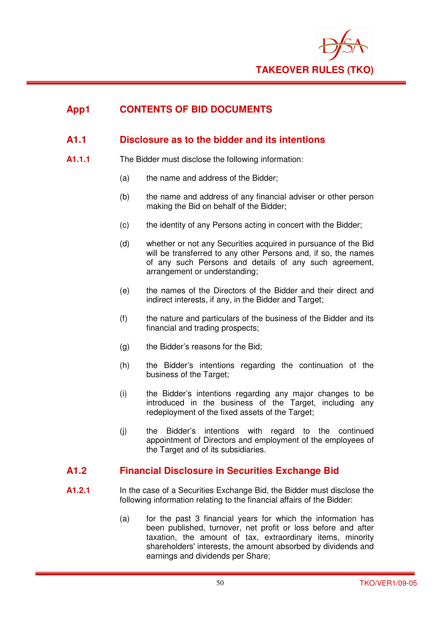

## **App1 CONTENTS OF BID DOCUMENTS**

## **A1.1 Disclosure as to the bidder and its intentions**

- **A1.1.1** The Bidder must disclose the following information:
	- (a) the name and address of the Bidder;
	- (b) the name and address of any financial adviser or other person making the Bid on behalf of the Bidder;
	- (c) the identity of any Persons acting in concert with the Bidder;
	- (d) whether or not any Securities acquired in pursuance of the Bid will be transferred to any other Persons and, if so, the names of any such Persons and details of any such agreement, arrangement or understanding;
	- (e) the names of the Directors of the Bidder and their direct and indirect interests, if any, in the Bidder and Target;
	- (f) the nature and particulars of the business of the Bidder and its financial and trading prospects;
	- (g) the Bidder's reasons for the Bid;
	- (h) the Bidder's intentions regarding the continuation of the business of the Target;
	- (i) the Bidder's intentions regarding any major changes to be introduced in the business of the Target, including any redeployment of the fixed assets of the Target;
	- (j) the Bidder's intentions with regard to the continued appointment of Directors and employment of the employees of the Target and of its subsidiaries.

## **A1.2 Financial Disclosure in Securities Exchange Bid**

- **A1.2.1** In the case of a Securities Exchange Bid, the Bidder must disclose the following information relating to the financial affairs of the Bidder:
	- (a) for the past 3 financial years for which the information has been published, turnover, net profit or loss before and after taxation, the amount of tax, extraordinary items, minority shareholders' interests, the amount absorbed by dividends and earnings and dividends per Share;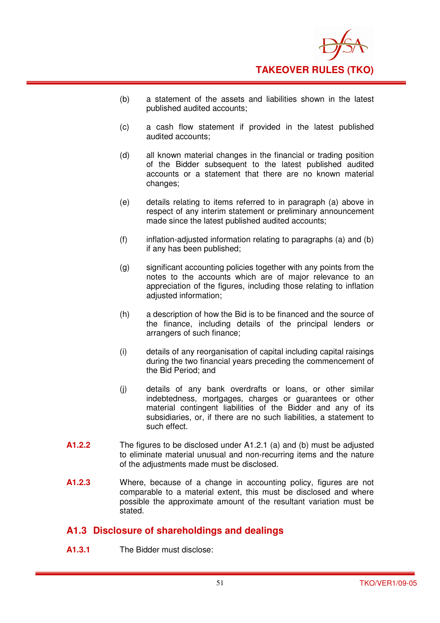

- (b) a statement of the assets and liabilities shown in the latest published audited accounts;
- (c) a cash flow statement if provided in the latest published audited accounts;
- (d) all known material changes in the financial or trading position of the Bidder subsequent to the latest published audited accounts or a statement that there are no known material changes;
- (e) details relating to items referred to in paragraph (a) above in respect of any interim statement or preliminary announcement made since the latest published audited accounts;
- (f) inflation-adjusted information relating to paragraphs (a) and (b) if any has been published;
- (g) significant accounting policies together with any points from the notes to the accounts which are of major relevance to an appreciation of the figures, including those relating to inflation adjusted information;
- (h) a description of how the Bid is to be financed and the source of the finance, including details of the principal lenders or arrangers of such finance;
- (i) details of any reorganisation of capital including capital raisings during the two financial years preceding the commencement of the Bid Period; and
- (j) details of any bank overdrafts or loans, or other similar indebtedness, mortgages, charges or guarantees or other material contingent liabilities of the Bidder and any of its subsidiaries, or, if there are no such liabilities, a statement to such effect.
- **A1.2.2** The figures to be disclosed under A1.2.1 (a) and (b) must be adjusted to eliminate material unusual and non-recurring items and the nature of the adjustments made must be disclosed.
- **A1.2.3** Where, because of a change in accounting policy, figures are not comparable to a material extent, this must be disclosed and where possible the approximate amount of the resultant variation must be stated.

## **A1.3 Disclosure of shareholdings and dealings**

**A1.3.1** The Bidder must disclose: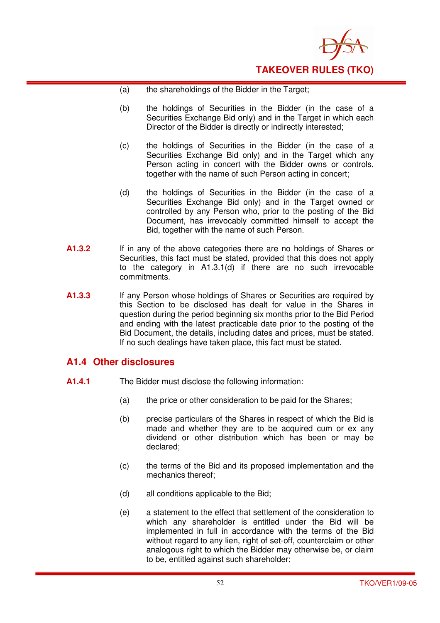

- (a) the shareholdings of the Bidder in the Target;
- (b) the holdings of Securities in the Bidder (in the case of a Securities Exchange Bid only) and in the Target in which each Director of the Bidder is directly or indirectly interested;
- (c) the holdings of Securities in the Bidder (in the case of a Securities Exchange Bid only) and in the Target which any Person acting in concert with the Bidder owns or controls, together with the name of such Person acting in concert;
- (d) the holdings of Securities in the Bidder (in the case of a Securities Exchange Bid only) and in the Target owned or controlled by any Person who, prior to the posting of the Bid Document, has irrevocably committed himself to accept the Bid, together with the name of such Person.
- **A1.3.2** If in any of the above categories there are no holdings of Shares or Securities, this fact must be stated, provided that this does not apply to the category in A1.3.1(d) if there are no such irrevocable commitments.
- **A1.3.3** If any Person whose holdings of Shares or Securities are required by this Section to be disclosed has dealt for value in the Shares in question during the period beginning six months prior to the Bid Period and ending with the latest practicable date prior to the posting of the Bid Document, the details, including dates and prices, must be stated. If no such dealings have taken place, this fact must be stated.

## **A1.4 Other disclosures**

- **A1.4.1** The Bidder must disclose the following information:
	- (a) the price or other consideration to be paid for the Shares;
	- (b) precise particulars of the Shares in respect of which the Bid is made and whether they are to be acquired cum or ex any dividend or other distribution which has been or may be declared;
	- (c) the terms of the Bid and its proposed implementation and the mechanics thereof;
	- (d) all conditions applicable to the Bid;
	- (e) a statement to the effect that settlement of the consideration to which any shareholder is entitled under the Bid will be implemented in full in accordance with the terms of the Bid without regard to any lien, right of set-off, counterclaim or other analogous right to which the Bidder may otherwise be, or claim to be, entitled against such shareholder;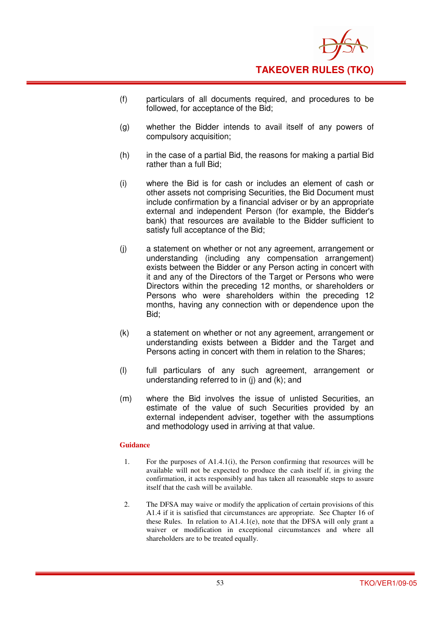

- (f) particulars of all documents required, and procedures to be followed, for acceptance of the Bid;
- (g) whether the Bidder intends to avail itself of any powers of compulsory acquisition;
- (h) in the case of a partial Bid, the reasons for making a partial Bid rather than a full Bid;
- (i) where the Bid is for cash or includes an element of cash or other assets not comprising Securities, the Bid Document must include confirmation by a financial adviser or by an appropriate external and independent Person (for example, the Bidder's bank) that resources are available to the Bidder sufficient to satisfy full acceptance of the Bid;
- (j) a statement on whether or not any agreement, arrangement or understanding (including any compensation arrangement) exists between the Bidder or any Person acting in concert with it and any of the Directors of the Target or Persons who were Directors within the preceding 12 months, or shareholders or Persons who were shareholders within the preceding 12 months, having any connection with or dependence upon the Bid;
- (k) a statement on whether or not any agreement, arrangement or understanding exists between a Bidder and the Target and Persons acting in concert with them in relation to the Shares;
- (l) full particulars of any such agreement, arrangement or understanding referred to in (j) and (k); and
- (m) where the Bid involves the issue of unlisted Securities, an estimate of the value of such Securities provided by an external independent adviser, together with the assumptions and methodology used in arriving at that value.

- 1. For the purposes of A1.4.1(i), the Person confirming that resources will be available will not be expected to produce the cash itself if, in giving the confirmation, it acts responsibly and has taken all reasonable steps to assure itself that the cash will be available.
- 2. The DFSA may waive or modify the application of certain provisions of this A1.4 if it is satisfied that circumstances are appropriate. See Chapter 16 of these Rules. In relation to A1.4.1(e), note that the DFSA will only grant a waiver or modification in exceptional circumstances and where all shareholders are to be treated equally.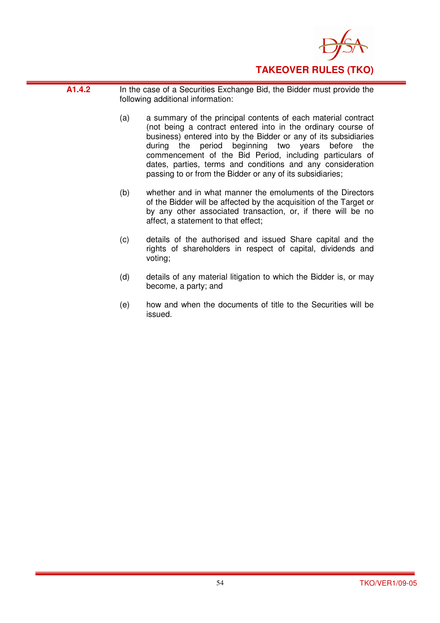

- **A1.4.2** In the case of a Securities Exchange Bid, the Bidder must provide the following additional information:
	- (a) a summary of the principal contents of each material contract (not being a contract entered into in the ordinary course of business) entered into by the Bidder or any of its subsidiaries during the period beginning two years before the commencement of the Bid Period, including particulars of dates, parties, terms and conditions and any consideration passing to or from the Bidder or any of its subsidiaries;
	- (b) whether and in what manner the emoluments of the Directors of the Bidder will be affected by the acquisition of the Target or by any other associated transaction, or, if there will be no affect, a statement to that effect;
	- (c) details of the authorised and issued Share capital and the rights of shareholders in respect of capital, dividends and voting;
	- (d) details of any material litigation to which the Bidder is, or may become, a party; and
	- (e) how and when the documents of title to the Securities will be issued.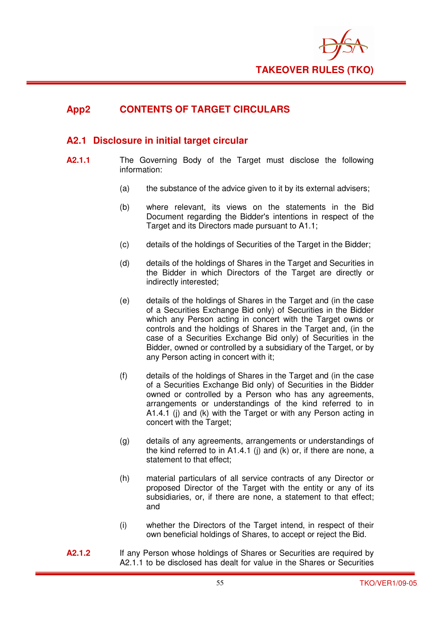

## **App2 CONTENTS OF TARGET CIRCULARS**

## **A2.1 Disclosure in initial target circular**

- **A2.1.1** The Governing Body of the Target must disclose the following information:
	- (a) the substance of the advice given to it by its external advisers;
	- (b) where relevant, its views on the statements in the Bid Document regarding the Bidder's intentions in respect of the Target and its Directors made pursuant to A1.1;
	- (c) details of the holdings of Securities of the Target in the Bidder;
	- (d) details of the holdings of Shares in the Target and Securities in the Bidder in which Directors of the Target are directly or indirectly interested;
	- (e) details of the holdings of Shares in the Target and (in the case of a Securities Exchange Bid only) of Securities in the Bidder which any Person acting in concert with the Target owns or controls and the holdings of Shares in the Target and, (in the case of a Securities Exchange Bid only) of Securities in the Bidder, owned or controlled by a subsidiary of the Target, or by any Person acting in concert with it;
	- (f) details of the holdings of Shares in the Target and (in the case of a Securities Exchange Bid only) of Securities in the Bidder owned or controlled by a Person who has any agreements, arrangements or understandings of the kind referred to in A1.4.1 (j) and (k) with the Target or with any Person acting in concert with the Target;
	- (g) details of any agreements, arrangements or understandings of the kind referred to in A1.4.1 (j) and (k) or, if there are none, a statement to that effect;
	- (h) material particulars of all service contracts of any Director or proposed Director of the Target with the entity or any of its subsidiaries, or, if there are none, a statement to that effect; and
	- (i) whether the Directors of the Target intend, in respect of their own beneficial holdings of Shares, to accept or reject the Bid.
- **A2.1.2** If any Person whose holdings of Shares or Securities are required by A2.1.1 to be disclosed has dealt for value in the Shares or Securities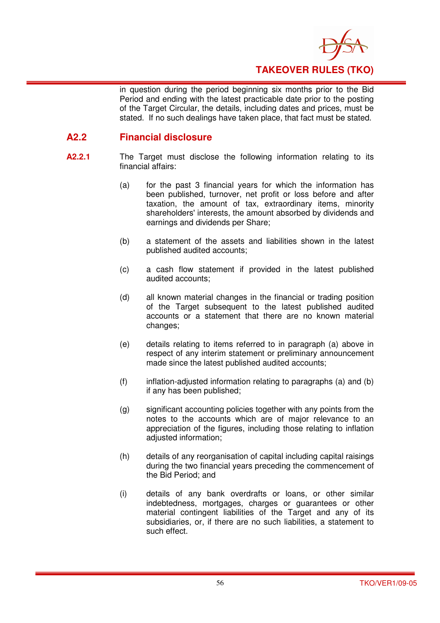

in question during the period beginning six months prior to the Bid Period and ending with the latest practicable date prior to the posting of the Target Circular, the details, including dates and prices, must be stated. If no such dealings have taken place, that fact must be stated.

## **A2.2 Financial disclosure**

- **A2.2.1** The Target must disclose the following information relating to its financial affairs:
	- (a) for the past 3 financial years for which the information has been published, turnover, net profit or loss before and after taxation, the amount of tax, extraordinary items, minority shareholders' interests, the amount absorbed by dividends and earnings and dividends per Share;
	- (b) a statement of the assets and liabilities shown in the latest published audited accounts;
	- (c) a cash flow statement if provided in the latest published audited accounts;
	- (d) all known material changes in the financial or trading position of the Target subsequent to the latest published audited accounts or a statement that there are no known material changes;
	- (e) details relating to items referred to in paragraph (a) above in respect of any interim statement or preliminary announcement made since the latest published audited accounts;
	- $(f)$  inflation-adjusted information relating to paragraphs (a) and (b) if any has been published;
	- (g) significant accounting policies together with any points from the notes to the accounts which are of major relevance to an appreciation of the figures, including those relating to inflation adjusted information;
	- (h) details of any reorganisation of capital including capital raisings during the two financial years preceding the commencement of the Bid Period; and
	- (i) details of any bank overdrafts or loans, or other similar indebtedness, mortgages, charges or guarantees or other material contingent liabilities of the Target and any of its subsidiaries, or, if there are no such liabilities, a statement to such effect.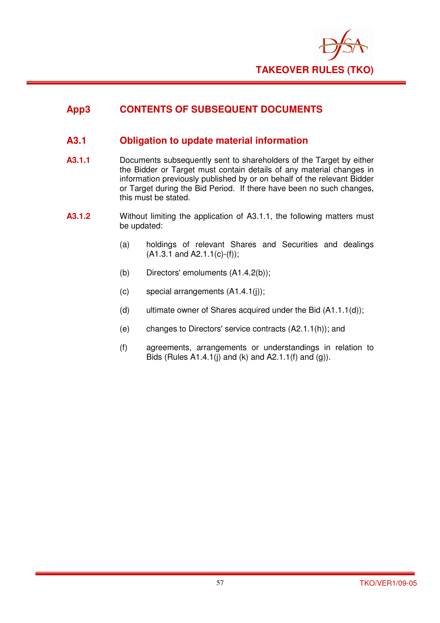

## **App3 CONTENTS OF SUBSEQUENT DOCUMENTS**

## **A3.1 Obligation to update material information**

- **A3.1.1** Documents subsequently sent to shareholders of the Target by either the Bidder or Target must contain details of any material changes in information previously published by or on behalf of the relevant Bidder or Target during the Bid Period. If there have been no such changes, this must be stated.
- **A3.1.2** Without limiting the application of A3.1.1, the following matters must be updated:
	- (a) holdings of relevant Shares and Securities and dealings  $(A1.3.1 \text{ and } A2.1.1(c)-(f));$
	- (b) Directors' emoluments (A1.4.2(b));
	- (c) special arrangements (A1.4.1(j));
	- (d) ultimate owner of Shares acquired under the Bid  $(A1.1.1(d))$ ;
	- (e) changes to Directors' service contracts (A2.1.1(h)); and
	- (f) agreements, arrangements or understandings in relation to Bids (Rules A1.4.1(j) and (k) and A2.1.1(f) and (g)).